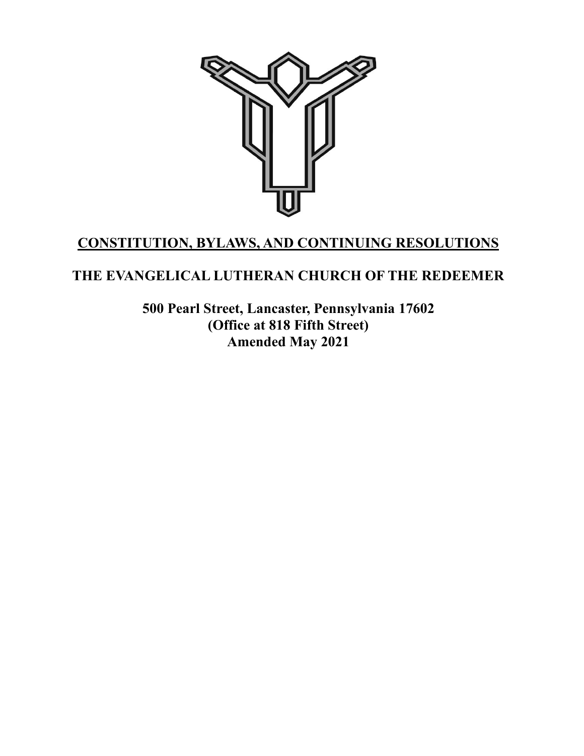

# **CONSTITUTION, BYLAWS, AND CONTINUING RESOLUTIONS**

# **THE EVANGELICAL LUTHERAN CHURCH OF THE REDEEMER**

**500 Pearl Street, Lancaster, Pennsylvania 17602 (Office at 818 Fifth Street) Amended May 2021**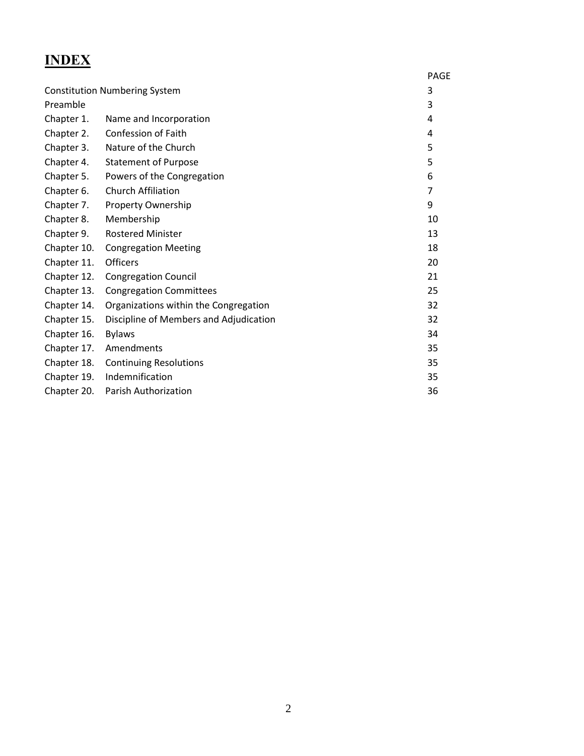# **INDEX**

|                                      |                                        | <b>PAGE</b> |
|--------------------------------------|----------------------------------------|-------------|
| <b>Constitution Numbering System</b> |                                        | 3           |
| Preamble                             |                                        | 3           |
| Chapter 1.                           | Name and Incorporation                 | 4           |
| Chapter 2.                           | Confession of Faith                    | 4           |
| Chapter 3.                           | Nature of the Church                   | 5           |
| Chapter 4.                           | <b>Statement of Purpose</b>            | 5           |
| Chapter 5.                           | Powers of the Congregation             | 6           |
| Chapter 6.                           | <b>Church Affiliation</b>              | 7           |
| Chapter 7.                           | Property Ownership                     | 9           |
| Chapter 8.                           | Membership                             | 10          |
| Chapter 9.                           | <b>Rostered Minister</b>               | 13          |
| Chapter 10.                          | <b>Congregation Meeting</b>            | 18          |
| Chapter 11.                          | <b>Officers</b>                        | 20          |
| Chapter 12.                          | <b>Congregation Council</b>            | 21          |
| Chapter 13.                          | <b>Congregation Committees</b>         | 25          |
| Chapter 14.                          | Organizations within the Congregation  | 32          |
| Chapter 15.                          | Discipline of Members and Adjudication | 32          |
| Chapter 16.                          | <b>Bylaws</b>                          | 34          |
| Chapter 17.                          | Amendments                             | 35          |
| Chapter 18.                          | <b>Continuing Resolutions</b>          | 35          |
| Chapter 19.                          | Indemnification                        | 35          |
| Chapter 20.                          | Parish Authorization                   | 36          |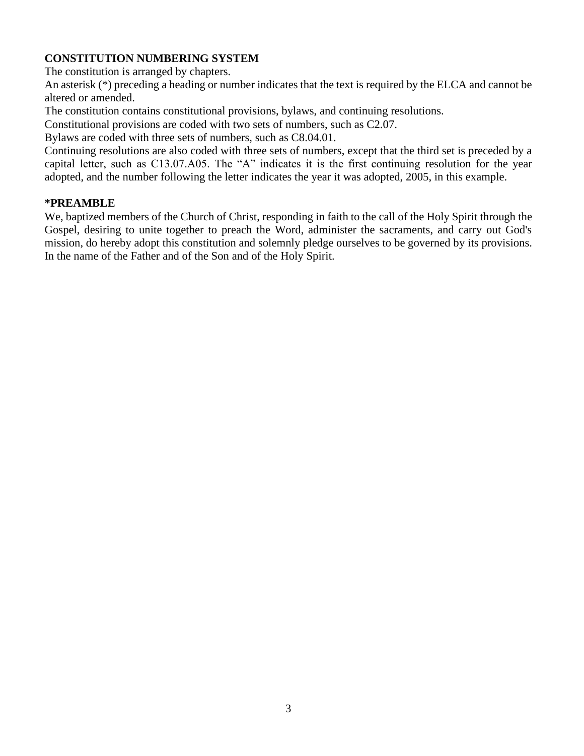# **CONSTITUTION NUMBERING SYSTEM**

The constitution is arranged by chapters.

An asterisk (\*) preceding a heading or number indicates that the text is required by the ELCA and cannot be altered or amended.

The constitution contains constitutional provisions, bylaws, and continuing resolutions.

Constitutional provisions are coded with two sets of numbers, such as C2.07.

Bylaws are coded with three sets of numbers, such as C8.04.01.

Continuing resolutions are also coded with three sets of numbers, except that the third set is preceded by a capital letter, such as C13.07.A05. The "A" indicates it is the first continuing resolution for the year adopted, and the number following the letter indicates the year it was adopted, 2005, in this example.

#### **\*PREAMBLE**

We, baptized members of the Church of Christ, responding in faith to the call of the Holy Spirit through the Gospel, desiring to unite together to preach the Word, administer the sacraments, and carry out God's mission, do hereby adopt this constitution and solemnly pledge ourselves to be governed by its provisions. In the name of the Father and of the Son and of the Holy Spirit.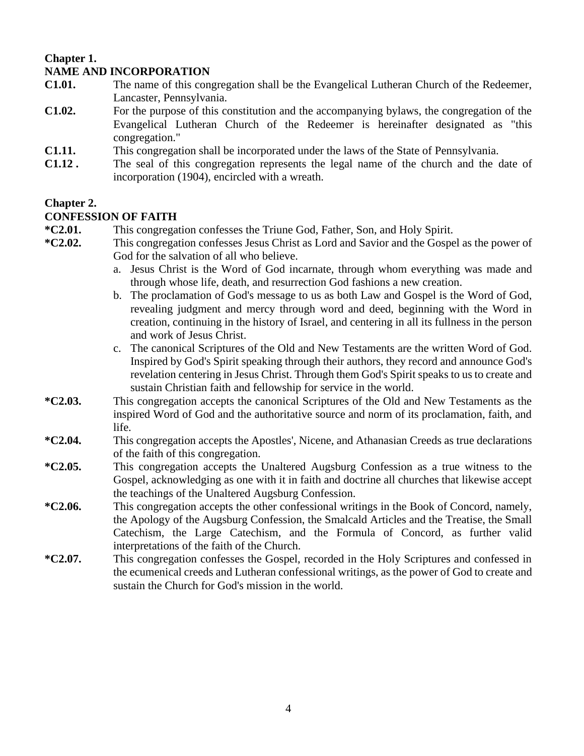#### **Chapter 1. NAME AND INCORPORATION**

- **C1.01.** The name of this congregation shall be the Evangelical Lutheran Church of the Redeemer, Lancaster, Pennsylvania.
- **C1.02.** For the purpose of this constitution and the accompanying bylaws, the congregation of the Evangelical Lutheran Church of the Redeemer is hereinafter designated as "this congregation."
- **C1.11.** This congregation shall be incorporated under the laws of the State of Pennsylvania.
- **C1.12 .** The seal of this congregation represents the legal name of the church and the date of incorporation (1904), encircled with a wreath.

# **Chapter 2.**

## **CONFESSION OF FAITH**

- **\*C2.01.** This congregation confesses the Triune God, Father, Son, and Holy Spirit.
- **\*C2.02.** This congregation confesses Jesus Christ as Lord and Savior and the Gospel as the power of God for the salvation of all who believe.
	- a. Jesus Christ is the Word of God incarnate, through whom everything was made and through whose life, death, and resurrection God fashions a new creation.
	- b. The proclamation of God's message to us as both Law and Gospel is the Word of God, revealing judgment and mercy through word and deed, beginning with the Word in creation, continuing in the history of Israel, and centering in all its fullness in the person and work of Jesus Christ.
	- c. The canonical Scriptures of the Old and New Testaments are the written Word of God. Inspired by God's Spirit speaking through their authors, they record and announce God's revelation centering in Jesus Christ. Through them God's Spirit speaks to us to create and sustain Christian faith and fellowship for service in the world.
- **\*C2.03.** This congregation accepts the canonical Scriptures of the Old and New Testaments as the inspired Word of God and the authoritative source and norm of its proclamation, faith, and life.
- **\*C2.04.** This congregation accepts the Apostles', Nicene, and Athanasian Creeds as true declarations of the faith of this congregation.
- **\*C2.05.** This congregation accepts the Unaltered Augsburg Confession as a true witness to the Gospel, acknowledging as one with it in faith and doctrine all churches that likewise accept the teachings of the Unaltered Augsburg Confession.
- **\*C2.06.** This congregation accepts the other confessional writings in the Book of Concord, namely, the Apology of the Augsburg Confession, the Smalcald Articles and the Treatise, the Small Catechism, the Large Catechism, and the Formula of Concord, as further valid interpretations of the faith of the Church.
- **\*C2.07.** This congregation confesses the Gospel, recorded in the Holy Scriptures and confessed in the ecumenical creeds and Lutheran confessional writings, as the power of God to create and sustain the Church for God's mission in the world.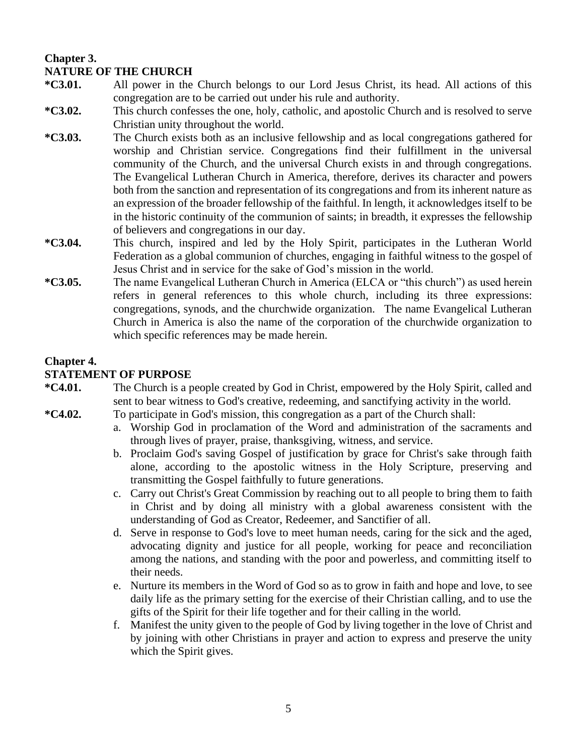# **Chapter 3. NATURE OF THE CHURCH**

- **\*C3.01.** All power in the Church belongs to our Lord Jesus Christ, its head. All actions of this congregation are to be carried out under his rule and authority.
- **\*C3.02.** This church confesses the one, holy, catholic, and apostolic Church and is resolved to serve Christian unity throughout the world.
- **\*C3.03.** The Church exists both as an inclusive fellowship and as local congregations gathered for worship and Christian service. Congregations find their fulfillment in the universal community of the Church, and the universal Church exists in and through congregations. The Evangelical Lutheran Church in America, therefore, derives its character and powers both from the sanction and representation of its congregations and from its inherent nature as an expression of the broader fellowship of the faithful. In length, it acknowledges itself to be in the historic continuity of the communion of saints; in breadth, it expresses the fellowship of believers and congregations in our day.
- **\*C3.04.** This church, inspired and led by the Holy Spirit, participates in the Lutheran World Federation as a global communion of churches, engaging in faithful witness to the gospel of Jesus Christ and in service for the sake of God's mission in the world.
- **\*C3.05.** The name Evangelical Lutheran Church in America (ELCA or "this church") as used herein refers in general references to this whole church, including its three expressions: congregations, synods, and the churchwide organization. The name Evangelical Lutheran Church in America is also the name of the corporation of the churchwide organization to which specific references may be made herein.

# **Chapter 4.**

### **STATEMENT OF PURPOSE**

- **\*C4.01.** The Church is a people created by God in Christ, empowered by the Holy Spirit, called and sent to bear witness to God's creative, redeeming, and sanctifying activity in the world.
- **\*C4.02.** To participate in God's mission, this congregation as a part of the Church shall:
	- a. Worship God in proclamation of the Word and administration of the sacraments and through lives of prayer, praise, thanksgiving, witness, and service.
	- b. Proclaim God's saving Gospel of justification by grace for Christ's sake through faith alone, according to the apostolic witness in the Holy Scripture, preserving and transmitting the Gospel faithfully to future generations.
	- c. Carry out Christ's Great Commission by reaching out to all people to bring them to faith in Christ and by doing all ministry with a global awareness consistent with the understanding of God as Creator, Redeemer, and Sanctifier of all.
	- d. Serve in response to God's love to meet human needs, caring for the sick and the aged, advocating dignity and justice for all people, working for peace and reconciliation among the nations, and standing with the poor and powerless, and committing itself to their needs.
	- e. Nurture its members in the Word of God so as to grow in faith and hope and love, to see daily life as the primary setting for the exercise of their Christian calling, and to use the gifts of the Spirit for their life together and for their calling in the world.
	- f. Manifest the unity given to the people of God by living together in the love of Christ and by joining with other Christians in prayer and action to express and preserve the unity which the Spirit gives.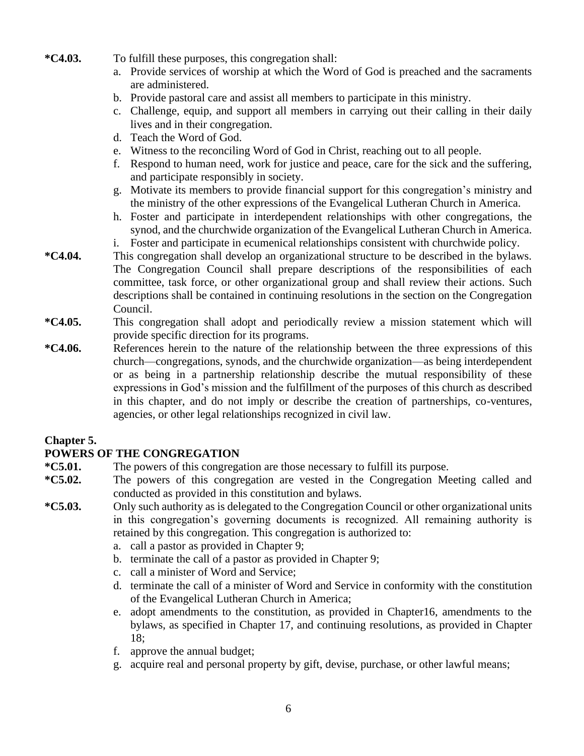- **\*C4.03.** To fulfill these purposes, this congregation shall:
	- a. Provide services of worship at which the Word of God is preached and the sacraments are administered.
	- b. Provide pastoral care and assist all members to participate in this ministry.
	- c. Challenge, equip, and support all members in carrying out their calling in their daily lives and in their congregation.
	- d. Teach the Word of God.
	- e. Witness to the reconciling Word of God in Christ, reaching out to all people.
	- f. Respond to human need, work for justice and peace, care for the sick and the suffering, and participate responsibly in society.
	- g. Motivate its members to provide financial support for this congregation's ministry and the ministry of the other expressions of the Evangelical Lutheran Church in America.
	- h. Foster and participate in interdependent relationships with other congregations, the synod, and the churchwide organization of the Evangelical Lutheran Church in America.
	- i. Foster and participate in ecumenical relationships consistent with churchwide policy.
- **\*C4.04.** This congregation shall develop an organizational structure to be described in the bylaws. The Congregation Council shall prepare descriptions of the responsibilities of each committee, task force, or other organizational group and shall review their actions. Such descriptions shall be contained in continuing resolutions in the section on the Congregation Council.
- **\*C4.05.** This congregation shall adopt and periodically review a mission statement which will provide specific direction for its programs.
- **\*C4.06.** References herein to the nature of the relationship between the three expressions of this church—congregations, synods, and the churchwide organization—as being interdependent or as being in a partnership relationship describe the mutual responsibility of these expressions in God's mission and the fulfillment of the purposes of this church as described in this chapter, and do not imply or describe the creation of partnerships, co-ventures, agencies, or other legal relationships recognized in civil law.

### **Chapter 5.**

### **POWERS OF THE CONGREGATION**

- **\*C5.01.** The powers of this congregation are those necessary to fulfill its purpose.
- **\*C5.02.** The powers of this congregation are vested in the Congregation Meeting called and conducted as provided in this constitution and bylaws.
- **\*C5.03.** Only such authority as is delegated to the Congregation Council or other organizational units in this congregation's governing documents is recognized. All remaining authority is retained by this congregation. This congregation is authorized to:
	- a. call a pastor as provided in Chapter 9;
	- b. terminate the call of a pastor as provided in Chapter 9;
	- c. call a minister of Word and Service;
	- d. terminate the call of a minister of Word and Service in conformity with the constitution of the Evangelical Lutheran Church in America;
	- e. adopt amendments to the constitution, as provided in Chapter16, amendments to the bylaws, as specified in Chapter 17, and continuing resolutions, as provided in Chapter 18;
	- f. approve the annual budget;
	- g. acquire real and personal property by gift, devise, purchase, or other lawful means;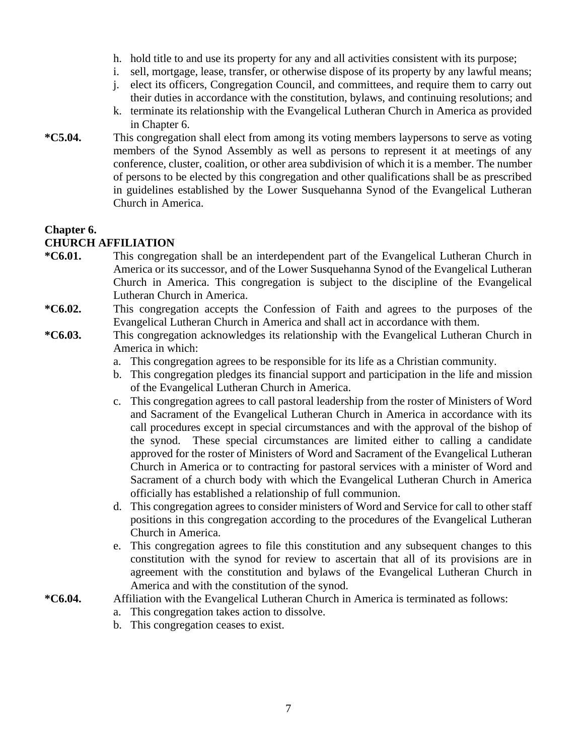- h. hold title to and use its property for any and all activities consistent with its purpose;
- i. sell, mortgage, lease, transfer, or otherwise dispose of its property by any lawful means;
- j. elect its officers, Congregation Council, and committees, and require them to carry out their duties in accordance with the constitution, bylaws, and continuing resolutions; and
- k. terminate its relationship with the Evangelical Lutheran Church in America as provided in Chapter 6.
- **\*C5.04.** This congregation shall elect from among its voting members laypersons to serve as voting members of the Synod Assembly as well as persons to represent it at meetings of any conference, cluster, coalition, or other area subdivision of which it is a member. The number of persons to be elected by this congregation and other qualifications shall be as prescribed in guidelines established by the Lower Susquehanna Synod of the Evangelical Lutheran Church in America.

#### **Chapter 6.**

#### **CHURCH AFFILIATION**

- **\*C6.01.** This congregation shall be an interdependent part of the Evangelical Lutheran Church in America or its successor, and of the Lower Susquehanna Synod of the Evangelical Lutheran Church in America. This congregation is subject to the discipline of the Evangelical Lutheran Church in America.
- **\*C6.02.** This congregation accepts the Confession of Faith and agrees to the purposes of the Evangelical Lutheran Church in America and shall act in accordance with them.
- **\*C6.03.** This congregation acknowledges its relationship with the Evangelical Lutheran Church in America in which:
	- a. This congregation agrees to be responsible for its life as a Christian community.
	- b. This congregation pledges its financial support and participation in the life and mission of the Evangelical Lutheran Church in America.
	- c. This congregation agrees to call pastoral leadership from the roster of Ministers of Word and Sacrament of the Evangelical Lutheran Church in America in accordance with its call procedures except in special circumstances and with the approval of the bishop of the synod. These special circumstances are limited either to calling a candidate approved for the roster of Ministers of Word and Sacrament of the Evangelical Lutheran Church in America or to contracting for pastoral services with a minister of Word and Sacrament of a church body with which the Evangelical Lutheran Church in America officially has established a relationship of full communion.
	- d. This congregation agrees to consider ministers of Word and Service for call to other staff positions in this congregation according to the procedures of the Evangelical Lutheran Church in America.
	- e. This congregation agrees to file this constitution and any subsequent changes to this constitution with the synod for review to ascertain that all of its provisions are in agreement with the constitution and bylaws of the Evangelical Lutheran Church in America and with the constitution of the synod.

#### **\*C6.04.** Affiliation with the Evangelical Lutheran Church in America is terminated as follows:

- a. This congregation takes action to dissolve.
- b. This congregation ceases to exist.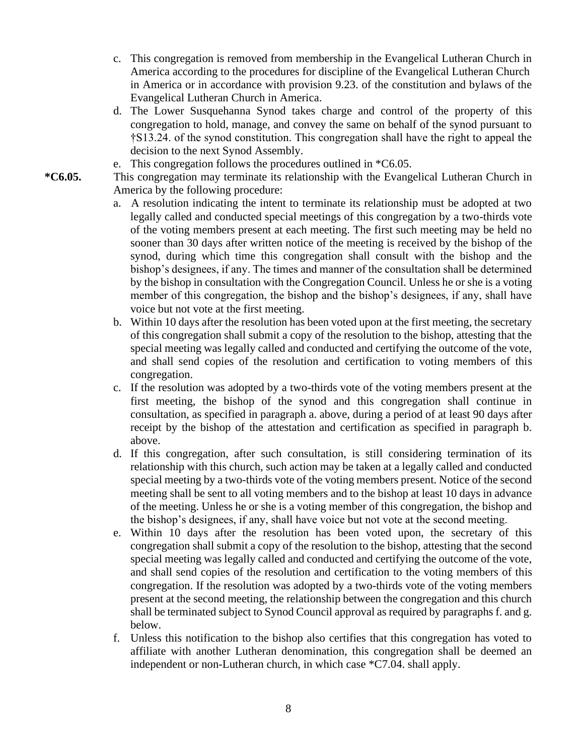- c. This congregation is removed from membership in the Evangelical Lutheran Church in America according to the procedures for discipline of the Evangelical Lutheran Church in America or in accordance with provision 9.23. of the constitution and bylaws of the Evangelical Lutheran Church in America.
- d. The Lower Susquehanna Synod takes charge and control of the property of this congregation to hold, manage, and convey the same on behalf of the synod pursuant to †S13.24. of the synod constitution. This congregation shall have the right to appeal the decision to the next Synod Assembly.
- e. This congregation follows the procedures outlined in \*C6.05.

**\*C6.05.** This congregation may terminate its relationship with the Evangelical Lutheran Church in America by the following procedure:

- a. A resolution indicating the intent to terminate its relationship must be adopted at two legally called and conducted special meetings of this congregation by a two-thirds vote of the voting members present at each meeting. The first such meeting may be held no sooner than 30 days after written notice of the meeting is received by the bishop of the synod, during which time this congregation shall consult with the bishop and the bishop's designees, if any. The times and manner of the consultation shall be determined by the bishop in consultation with the Congregation Council. Unless he or she is a voting member of this congregation, the bishop and the bishop's designees, if any, shall have voice but not vote at the first meeting.
- b. Within 10 days after the resolution has been voted upon at the first meeting, the secretary of this congregation shall submit a copy of the resolution to the bishop, attesting that the special meeting was legally called and conducted and certifying the outcome of the vote, and shall send copies of the resolution and certification to voting members of this congregation.
- c. If the resolution was adopted by a two-thirds vote of the voting members present at the first meeting, the bishop of the synod and this congregation shall continue in consultation, as specified in paragraph a. above, during a period of at least 90 days after receipt by the bishop of the attestation and certification as specified in paragraph b. above.
- d. If this congregation, after such consultation, is still considering termination of its relationship with this church, such action may be taken at a legally called and conducted special meeting by a two-thirds vote of the voting members present. Notice of the second meeting shall be sent to all voting members and to the bishop at least 10 days in advance of the meeting. Unless he or she is a voting member of this congregation, the bishop and the bishop's designees, if any, shall have voice but not vote at the second meeting.
- e. Within 10 days after the resolution has been voted upon, the secretary of this congregation shall submit a copy of the resolution to the bishop, attesting that the second special meeting was legally called and conducted and certifying the outcome of the vote, and shall send copies of the resolution and certification to the voting members of this congregation. If the resolution was adopted by a two-thirds vote of the voting members present at the second meeting, the relationship between the congregation and this church shall be terminated subject to Synod Council approval as required by paragraphs f. and g. below.
- f. Unless this notification to the bishop also certifies that this congregation has voted to affiliate with another Lutheran denomination, this congregation shall be deemed an independent or non-Lutheran church, in which case \*C7.04. shall apply.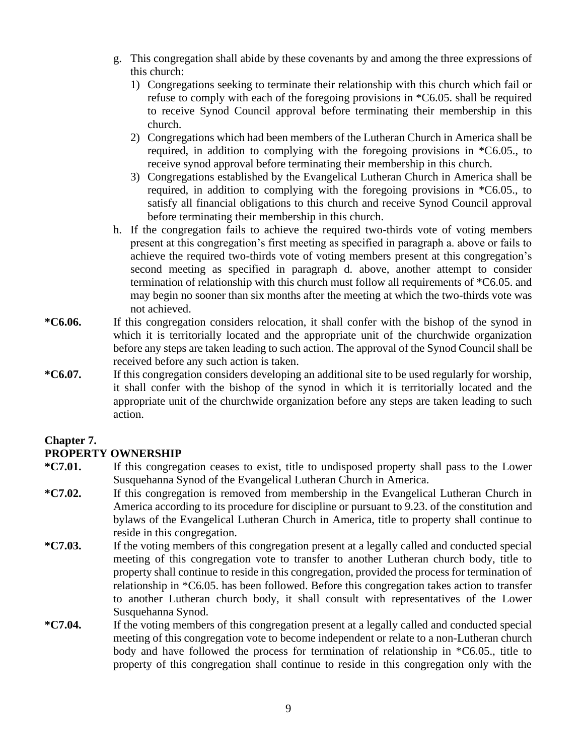- g. This congregation shall abide by these covenants by and among the three expressions of this church:
	- 1) Congregations seeking to terminate their relationship with this church which fail or refuse to comply with each of the foregoing provisions in \*C6.05. shall be required to receive Synod Council approval before terminating their membership in this church.
	- 2) Congregations which had been members of the Lutheran Church in America shall be required, in addition to complying with the foregoing provisions in \*C6.05., to receive synod approval before terminating their membership in this church.
	- 3) Congregations established by the Evangelical Lutheran Church in America shall be required, in addition to complying with the foregoing provisions in \*C6.05., to satisfy all financial obligations to this church and receive Synod Council approval before terminating their membership in this church.
- h. If the congregation fails to achieve the required two-thirds vote of voting members present at this congregation's first meeting as specified in paragraph a. above or fails to achieve the required two-thirds vote of voting members present at this congregation's second meeting as specified in paragraph d. above, another attempt to consider termination of relationship with this church must follow all requirements of \*C6.05. and may begin no sooner than six months after the meeting at which the two-thirds vote was not achieved.
- **\*C6.06.** If this congregation considers relocation, it shall confer with the bishop of the synod in which it is territorially located and the appropriate unit of the churchwide organization before any steps are taken leading to such action. The approval of the Synod Council shall be received before any such action is taken.
- **\*C6.07.** If this congregation considers developing an additional site to be used regularly for worship, it shall confer with the bishop of the synod in which it is territorially located and the appropriate unit of the churchwide organization before any steps are taken leading to such action.

# **Chapter 7.**

# **PROPERTY OWNERSHIP**

- **\*C7.01.** If this congregation ceases to exist, title to undisposed property shall pass to the Lower Susquehanna Synod of the Evangelical Lutheran Church in America.
- **\*C7.02.** If this congregation is removed from membership in the Evangelical Lutheran Church in America according to its procedure for discipline or pursuant to 9.23. of the constitution and bylaws of the Evangelical Lutheran Church in America, title to property shall continue to reside in this congregation.
- **\*C7.03.** If the voting members of this congregation present at a legally called and conducted special meeting of this congregation vote to transfer to another Lutheran church body, title to property shall continue to reside in this congregation, provided the process for termination of relationship in \*C6.05. has been followed. Before this congregation takes action to transfer to another Lutheran church body, it shall consult with representatives of the Lower Susquehanna Synod.
- **\*C7.04.** If the voting members of this congregation present at a legally called and conducted special meeting of this congregation vote to become independent or relate to a non-Lutheran church body and have followed the process for termination of relationship in \*C6.05., title to property of this congregation shall continue to reside in this congregation only with the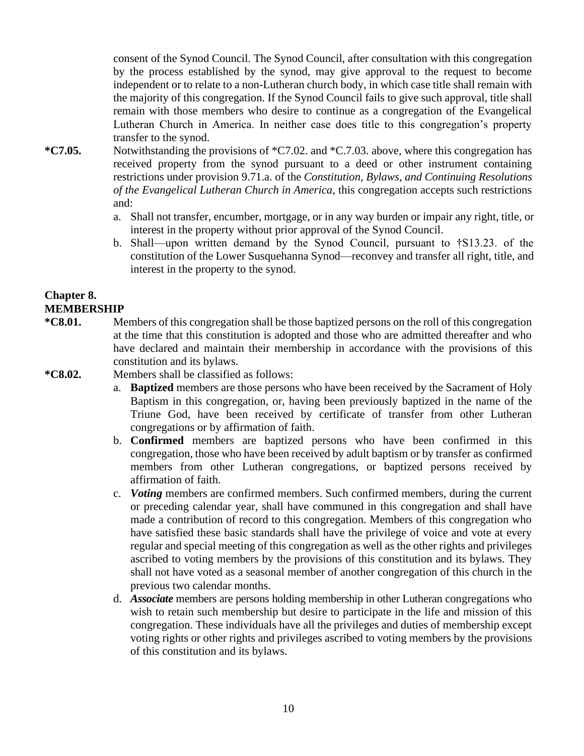consent of the Synod Council. The Synod Council, after consultation with this congregation by the process established by the synod, may give approval to the request to become independent or to relate to a non-Lutheran church body, in which case title shall remain with the majority of this congregation. If the Synod Council fails to give such approval, title shall remain with those members who desire to continue as a congregation of the Evangelical Lutheran Church in America. In neither case does title to this congregation's property transfer to the synod.

- **\*C7.05.** Notwithstanding the provisions of \*C7.02. and \*C.7.03. above, where this congregation has received property from the synod pursuant to a deed or other instrument containing restrictions under provision 9.71.a. of the *Constitution, Bylaws, and Continuing Resolutions of the Evangelical Lutheran Church in America*, this congregation accepts such restrictions and:
	- a. Shall not transfer, encumber, mortgage, or in any way burden or impair any right, title, or interest in the property without prior approval of the Synod Council.
	- b. Shall—upon written demand by the Synod Council, pursuant to †S13.23. of the constitution of the Lower Susquehanna Synod—reconvey and transfer all right, title, and interest in the property to the synod.

## **Chapter 8. MEMBERSHIP**

- **\*C8.01.** Members of this congregation shall be those baptized persons on the roll of this congregation at the time that this constitution is adopted and those who are admitted thereafter and who have declared and maintain their membership in accordance with the provisions of this constitution and its bylaws.
- **\*C8.02.** Members shall be classified as follows:
	- a. **Baptized** members are those persons who have been received by the Sacrament of Holy Baptism in this congregation, or, having been previously baptized in the name of the Triune God, have been received by certificate of transfer from other Lutheran congregations or by affirmation of faith.
	- b. **Confirmed** members are baptized persons who have been confirmed in this congregation, those who have been received by adult baptism or by transfer as confirmed members from other Lutheran congregations, or baptized persons received by affirmation of faith.
	- c. *Voting* members are confirmed members. Such confirmed members, during the current or preceding calendar year, shall have communed in this congregation and shall have made a contribution of record to this congregation. Members of this congregation who have satisfied these basic standards shall have the privilege of voice and vote at every regular and special meeting of this congregation as well as the other rights and privileges ascribed to voting members by the provisions of this constitution and its bylaws. They shall not have voted as a seasonal member of another congregation of this church in the previous two calendar months.
	- d. *Associate* members are persons holding membership in other Lutheran congregations who wish to retain such membership but desire to participate in the life and mission of this congregation. These individuals have all the privileges and duties of membership except voting rights or other rights and privileges ascribed to voting members by the provisions of this constitution and its bylaws.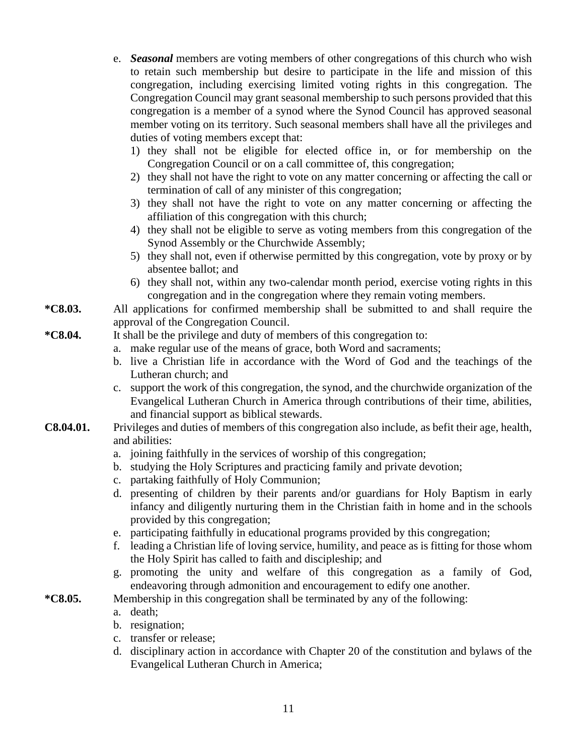- e. *Seasonal* members are voting members of other congregations of this church who wish to retain such membership but desire to participate in the life and mission of this congregation, including exercising limited voting rights in this congregation. The Congregation Council may grant seasonal membership to such persons provided that this congregation is a member of a synod where the Synod Council has approved seasonal member voting on its territory. Such seasonal members shall have all the privileges and duties of voting members except that:
	- 1) they shall not be eligible for elected office in, or for membership on the Congregation Council or on a call committee of, this congregation;
	- 2) they shall not have the right to vote on any matter concerning or affecting the call or termination of call of any minister of this congregation;
	- 3) they shall not have the right to vote on any matter concerning or affecting the affiliation of this congregation with this church;
	- 4) they shall not be eligible to serve as voting members from this congregation of the Synod Assembly or the Churchwide Assembly;
	- 5) they shall not, even if otherwise permitted by this congregation, vote by proxy or by absentee ballot; and
	- 6) they shall not, within any two-calendar month period, exercise voting rights in this congregation and in the congregation where they remain voting members.

**\*C8.03.** All applications for confirmed membership shall be submitted to and shall require the approval of the Congregation Council.

- **\*C8.04.** It shall be the privilege and duty of members of this congregation to:
	- a. make regular use of the means of grace, both Word and sacraments;
	- b. live a Christian life in accordance with the Word of God and the teachings of the Lutheran church; and
	- c. support the work of this congregation, the synod, and the churchwide organization of the Evangelical Lutheran Church in America through contributions of their time, abilities, and financial support as biblical stewards.
- **C8.04.01.** Privileges and duties of members of this congregation also include, as befit their age, health, and abilities:
	- a. joining faithfully in the services of worship of this congregation;
	- b. studying the Holy Scriptures and practicing family and private devotion;
	- c. partaking faithfully of Holy Communion;
	- d. presenting of children by their parents and/or guardians for Holy Baptism in early infancy and diligently nurturing them in the Christian faith in home and in the schools provided by this congregation;
	- e. participating faithfully in educational programs provided by this congregation;
	- f. leading a Christian life of loving service, humility, and peace as is fitting for those whom the Holy Spirit has called to faith and discipleship; and
	- g. promoting the unity and welfare of this congregation as a family of God, endeavoring through admonition and encouragement to edify one another.
- **\*C8.05.** Membership in this congregation shall be terminated by any of the following:
	- a. death;
	- b. resignation;
	- c. transfer or release;
	- d. disciplinary action in accordance with Chapter 20 of the constitution and bylaws of the Evangelical Lutheran Church in America;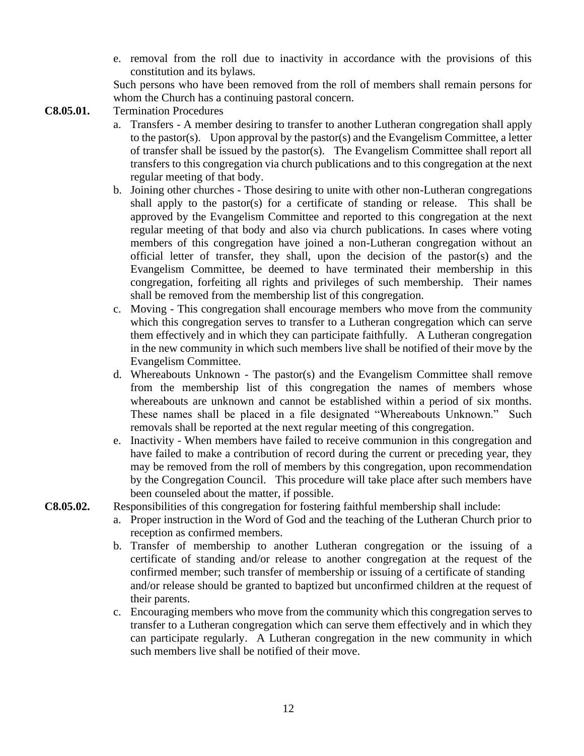e. removal from the roll due to inactivity in accordance with the provisions of this constitution and its bylaws.

Such persons who have been removed from the roll of members shall remain persons for whom the Church has a continuing pastoral concern.

- **C8.05.01.** Termination Procedures
	- a. Transfers A member desiring to transfer to another Lutheran congregation shall apply to the pastor(s). Upon approval by the pastor(s) and the Evangelism Committee, a letter of transfer shall be issued by the pastor(s). The Evangelism Committee shall report all transfers to this congregation via church publications and to this congregation at the next regular meeting of that body.
	- b. Joining other churches Those desiring to unite with other non-Lutheran congregations shall apply to the pastor(s) for a certificate of standing or release. This shall be approved by the Evangelism Committee and reported to this congregation at the next regular meeting of that body and also via church publications. In cases where voting members of this congregation have joined a non-Lutheran congregation without an official letter of transfer, they shall, upon the decision of the pastor(s) and the Evangelism Committee, be deemed to have terminated their membership in this congregation, forfeiting all rights and privileges of such membership. Their names shall be removed from the membership list of this congregation.
	- c. Moving This congregation shall encourage members who move from the community which this congregation serves to transfer to a Lutheran congregation which can serve them effectively and in which they can participate faithfully. A Lutheran congregation in the new community in which such members live shall be notified of their move by the Evangelism Committee.
	- d. Whereabouts Unknown The pastor(s) and the Evangelism Committee shall remove from the membership list of this congregation the names of members whose whereabouts are unknown and cannot be established within a period of six months. These names shall be placed in a file designated "Whereabouts Unknown." Such removals shall be reported at the next regular meeting of this congregation.
	- e. Inactivity When members have failed to receive communion in this congregation and have failed to make a contribution of record during the current or preceding year, they may be removed from the roll of members by this congregation, upon recommendation by the Congregation Council. This procedure will take place after such members have been counseled about the matter, if possible.
- **C8.05.02.** Responsibilities of this congregation for fostering faithful membership shall include:
	- a. Proper instruction in the Word of God and the teaching of the Lutheran Church prior to reception as confirmed members.
	- b. Transfer of membership to another Lutheran congregation or the issuing of a certificate of standing and/or release to another congregation at the request of the confirmed member; such transfer of membership or issuing of a certificate of standing and/or release should be granted to baptized but unconfirmed children at the request of their parents.
	- c. Encouraging members who move from the community which this congregation serves to transfer to a Lutheran congregation which can serve them effectively and in which they can participate regularly. A Lutheran congregation in the new community in which such members live shall be notified of their move.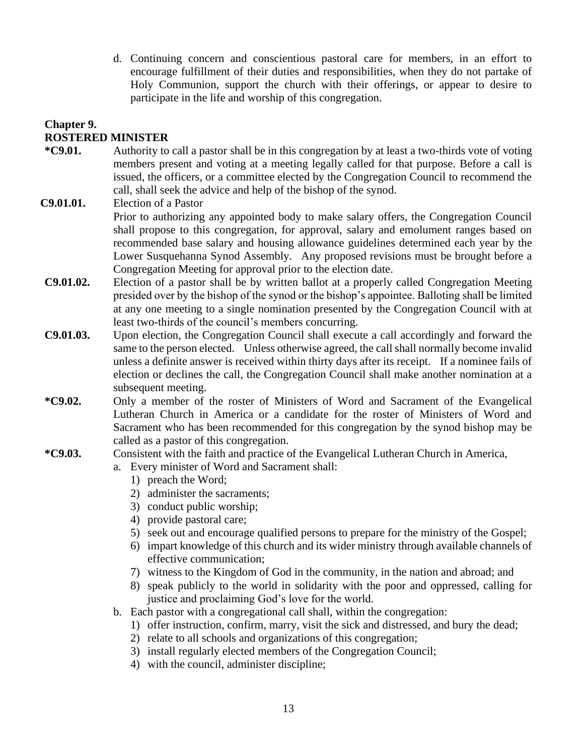d. Continuing concern and conscientious pastoral care for members, in an effort to encourage fulfillment of their duties and responsibilities, when they do not partake of Holy Communion, support the church with their offerings, or appear to desire to participate in the life and worship of this congregation.

# **Chapter 9. ROSTERED MINISTER**

- **\*C9.01.** Authority to call a pastor shall be in this congregation by at least a two-thirds vote of voting members present and voting at a meeting legally called for that purpose. Before a call is issued, the officers, or a committee elected by the Congregation Council to recommend the call, shall seek the advice and help of the bishop of the synod.
- **C9.01.01.** Election of a Pastor

Prior to authorizing any appointed body to make salary offers, the Congregation Council shall propose to this congregation, for approval, salary and emolument ranges based on recommended base salary and housing allowance guidelines determined each year by the Lower Susquehanna Synod Assembly. Any proposed revisions must be brought before a Congregation Meeting for approval prior to the election date.

- **C9.01.02.** Election of a pastor shall be by written ballot at a properly called Congregation Meeting presided over by the bishop of the synod or the bishop's appointee. Balloting shall be limited at any one meeting to a single nomination presented by the Congregation Council with at least two-thirds of the council's members concurring.
- **C9.01.03.** Upon election, the Congregation Council shall execute a call accordingly and forward the same to the person elected. Unless otherwise agreed, the call shall normally become invalid unless a definite answer is received within thirty days after its receipt. If a nominee fails of election or declines the call, the Congregation Council shall make another nomination at a subsequent meeting.
- **\*C9.02.** Only a member of the roster of Ministers of Word and Sacrament of the Evangelical Lutheran Church in America or a candidate for the roster of Ministers of Word and Sacrament who has been recommended for this congregation by the synod bishop may be called as a pastor of this congregation.
- **\*C9.03.** Consistent with the faith and practice of the Evangelical Lutheran Church in America,
	- a. Every minister of Word and Sacrament shall:
		- 1) preach the Word;
		- 2) administer the sacraments;
		- 3) conduct public worship;
		- 4) provide pastoral care;
		- 5) seek out and encourage qualified persons to prepare for the ministry of the Gospel;
		- 6) impart knowledge of this church and its wider ministry through available channels of effective communication;
		- 7) witness to the Kingdom of God in the community, in the nation and abroad; and
		- 8) speak publicly to the world in solidarity with the poor and oppressed, calling for justice and proclaiming God's love for the world.
	- b. Each pastor with a congregational call shall, within the congregation:
		- 1) offer instruction, confirm, marry, visit the sick and distressed, and bury the dead;
		- 2) relate to all schools and organizations of this congregation;
		- 3) install regularly elected members of the Congregation Council;
		- 4) with the council, administer discipline;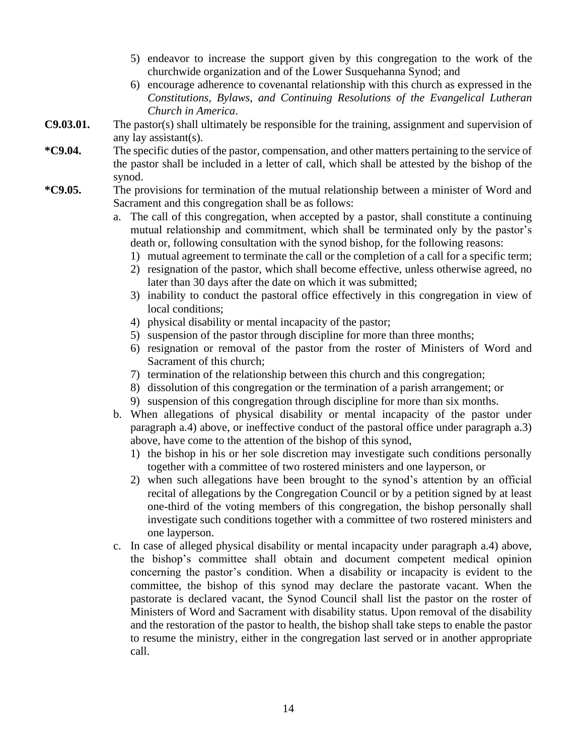- 5) endeavor to increase the support given by this congregation to the work of the churchwide organization and of the Lower Susquehanna Synod; and
- 6) encourage adherence to covenantal relationship with this church as expressed in the *Constitutions, Bylaws, and Continuing Resolutions of the Evangelical Lutheran Church in America*.
- **C9.03.01.** The pastor(s) shall ultimately be responsible for the training, assignment and supervision of any lay assistant(s).
- **\*C9.04.** The specific duties of the pastor, compensation, and other matters pertaining to the service of the pastor shall be included in a letter of call, which shall be attested by the bishop of the synod.
- **\*C9.05.** The provisions for termination of the mutual relationship between a minister of Word and Sacrament and this congregation shall be as follows:
	- a. The call of this congregation, when accepted by a pastor, shall constitute a continuing mutual relationship and commitment, which shall be terminated only by the pastor's death or, following consultation with the synod bishop, for the following reasons:
		- 1) mutual agreement to terminate the call or the completion of a call for a specific term;
		- 2) resignation of the pastor, which shall become effective, unless otherwise agreed, no later than 30 days after the date on which it was submitted;
		- 3) inability to conduct the pastoral office effectively in this congregation in view of local conditions;
		- 4) physical disability or mental incapacity of the pastor;
		- 5) suspension of the pastor through discipline for more than three months;
		- 6) resignation or removal of the pastor from the roster of Ministers of Word and Sacrament of this church;
		- 7) termination of the relationship between this church and this congregation;
		- 8) dissolution of this congregation or the termination of a parish arrangement; or
		- 9) suspension of this congregation through discipline for more than six months.
	- b. When allegations of physical disability or mental incapacity of the pastor under paragraph a.4) above, or ineffective conduct of the pastoral office under paragraph a.3) above, have come to the attention of the bishop of this synod,
		- 1) the bishop in his or her sole discretion may investigate such conditions personally together with a committee of two rostered ministers and one layperson, or
		- 2) when such allegations have been brought to the synod's attention by an official recital of allegations by the Congregation Council or by a petition signed by at least one-third of the voting members of this congregation, the bishop personally shall investigate such conditions together with a committee of two rostered ministers and one layperson.
	- c. In case of alleged physical disability or mental incapacity under paragraph a.4) above, the bishop's committee shall obtain and document competent medical opinion concerning the pastor's condition. When a disability or incapacity is evident to the committee, the bishop of this synod may declare the pastorate vacant. When the pastorate is declared vacant, the Synod Council shall list the pastor on the roster of Ministers of Word and Sacrament with disability status. Upon removal of the disability and the restoration of the pastor to health, the bishop shall take steps to enable the pastor to resume the ministry, either in the congregation last served or in another appropriate call.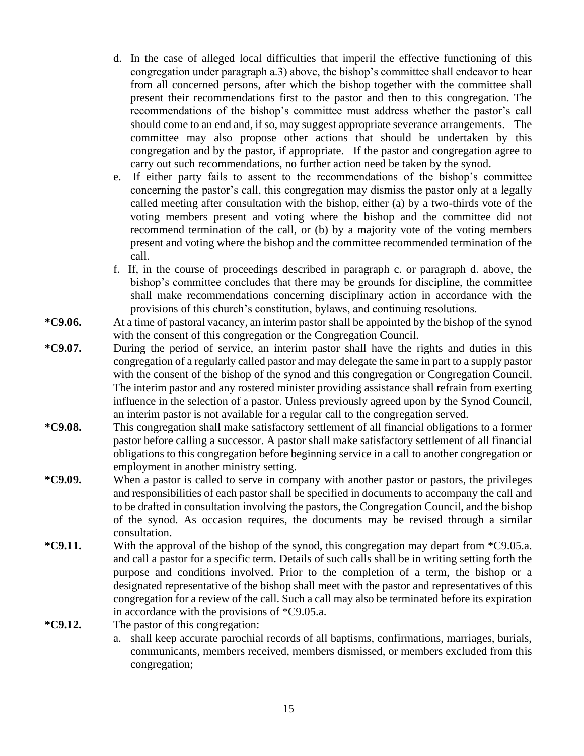- d. In the case of alleged local difficulties that imperil the effective functioning of this congregation under paragraph a.3) above, the bishop's committee shall endeavor to hear from all concerned persons, after which the bishop together with the committee shall present their recommendations first to the pastor and then to this congregation. The recommendations of the bishop's committee must address whether the pastor's call should come to an end and, if so, may suggest appropriate severance arrangements. The committee may also propose other actions that should be undertaken by this congregation and by the pastor, if appropriate. If the pastor and congregation agree to carry out such recommendations, no further action need be taken by the synod.
- e. If either party fails to assent to the recommendations of the bishop's committee concerning the pastor's call, this congregation may dismiss the pastor only at a legally called meeting after consultation with the bishop, either (a) by a two-thirds vote of the voting members present and voting where the bishop and the committee did not recommend termination of the call, or (b) by a majority vote of the voting members present and voting where the bishop and the committee recommended termination of the call.
- f. If, in the course of proceedings described in paragraph c. or paragraph d. above, the bishop's committee concludes that there may be grounds for discipline, the committee shall make recommendations concerning disciplinary action in accordance with the provisions of this church's constitution, bylaws, and continuing resolutions.
- **\*C9.06.** At a time of pastoral vacancy, an interim pastor shall be appointed by the bishop of the synod with the consent of this congregation or the Congregation Council.
- **\*C9.07.** During the period of service, an interim pastor shall have the rights and duties in this congregation of a regularly called pastor and may delegate the same in part to a supply pastor with the consent of the bishop of the synod and this congregation or Congregation Council. The interim pastor and any rostered minister providing assistance shall refrain from exerting influence in the selection of a pastor. Unless previously agreed upon by the Synod Council, an interim pastor is not available for a regular call to the congregation served.
- **\*C9.08.** This congregation shall make satisfactory settlement of all financial obligations to a former pastor before calling a successor. A pastor shall make satisfactory settlement of all financial obligations to this congregation before beginning service in a call to another congregation or employment in another ministry setting.
- **\*C9.09.** When a pastor is called to serve in company with another pastor or pastors, the privileges and responsibilities of each pastor shall be specified in documents to accompany the call and to be drafted in consultation involving the pastors, the Congregation Council, and the bishop of the synod. As occasion requires, the documents may be revised through a similar consultation.
- **\*C9.11.** With the approval of the bishop of the synod, this congregation may depart from \*C9.05.a. and call a pastor for a specific term. Details of such calls shall be in writing setting forth the purpose and conditions involved. Prior to the completion of a term, the bishop or a designated representative of the bishop shall meet with the pastor and representatives of this congregation for a review of the call. Such a call may also be terminated before its expiration in accordance with the provisions of \*C9.05.a.
- **\*C9.12.** The pastor of this congregation:
	- a. shall keep accurate parochial records of all baptisms, confirmations, marriages, burials, communicants, members received, members dismissed, or members excluded from this congregation;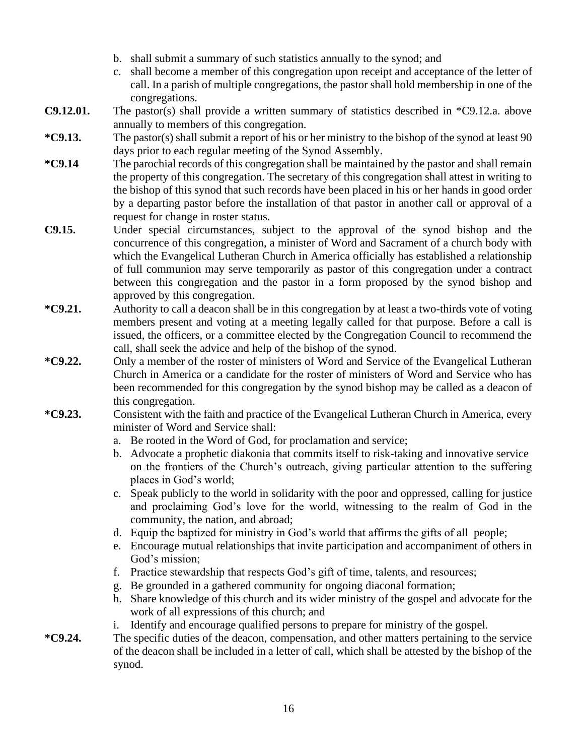- b. shall submit a summary of such statistics annually to the synod; and
- c. shall become a member of this congregation upon receipt and acceptance of the letter of call. In a parish of multiple congregations, the pastor shall hold membership in one of the congregations.
- **C9.12.01.** The pastor(s) shall provide a written summary of statistics described in \*C9.12.a. above annually to members of this congregation.
- **\*C9.13.** The pastor(s) shall submit a report of his or her ministry to the bishop of the synod at least 90 days prior to each regular meeting of the Synod Assembly.
- **\*C9.14** The parochial records of this congregation shall be maintained by the pastor and shall remain the property of this congregation. The secretary of this congregation shall attest in writing to the bishop of this synod that such records have been placed in his or her hands in good order by a departing pastor before the installation of that pastor in another call or approval of a request for change in roster status.
- **C9.15.** Under special circumstances, subject to the approval of the synod bishop and the concurrence of this congregation, a minister of Word and Sacrament of a church body with which the Evangelical Lutheran Church in America officially has established a relationship of full communion may serve temporarily as pastor of this congregation under a contract between this congregation and the pastor in a form proposed by the synod bishop and approved by this congregation.
- **\*C9.21.** Authority to call a deacon shall be in this congregation by at least a two-thirds vote of voting members present and voting at a meeting legally called for that purpose. Before a call is issued, the officers, or a committee elected by the Congregation Council to recommend the call, shall seek the advice and help of the bishop of the synod.
- **\*C9.22.** Only a member of the roster of ministers of Word and Service of the Evangelical Lutheran Church in America or a candidate for the roster of ministers of Word and Service who has been recommended for this congregation by the synod bishop may be called as a deacon of this congregation.
- **\*C9.23.** Consistent with the faith and practice of the Evangelical Lutheran Church in America, every minister of Word and Service shall:
	- a. Be rooted in the Word of God, for proclamation and service;
	- b. Advocate a prophetic diakonia that commits itself to risk-taking and innovative service on the frontiers of the Church's outreach, giving particular attention to the suffering places in God's world;
	- c. Speak publicly to the world in solidarity with the poor and oppressed, calling for justice and proclaiming God's love for the world, witnessing to the realm of God in the community, the nation, and abroad;
	- d. Equip the baptized for ministry in God's world that affirms the gifts of all people;
	- e. Encourage mutual relationships that invite participation and accompaniment of others in God's mission;
	- f. Practice stewardship that respects God's gift of time, talents, and resources;
	- g. Be grounded in a gathered community for ongoing diaconal formation;
	- h. Share knowledge of this church and its wider ministry of the gospel and advocate for the work of all expressions of this church; and
	- i. Identify and encourage qualified persons to prepare for ministry of the gospel.
- **\*C9.24.** The specific duties of the deacon, compensation, and other matters pertaining to the service of the deacon shall be included in a letter of call, which shall be attested by the bishop of the synod.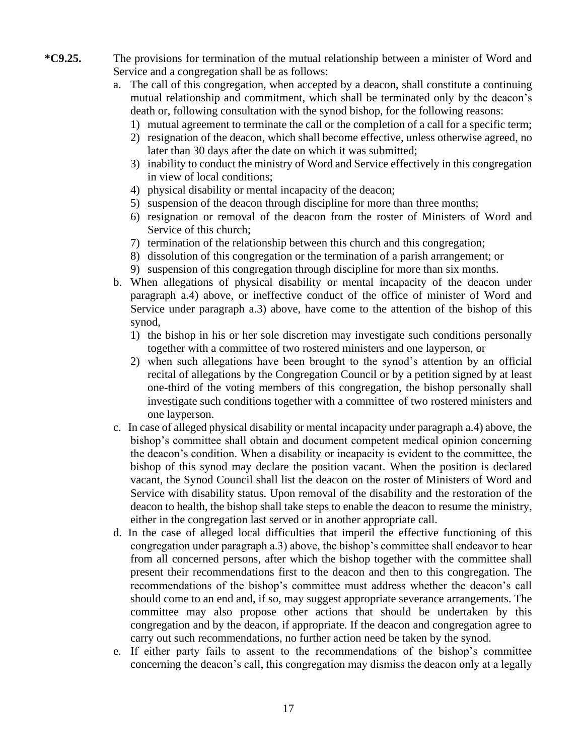- **\*C9.25.** The provisions for termination of the mutual relationship between a minister of Word and Service and a congregation shall be as follows:
	- a. The call of this congregation, when accepted by a deacon, shall constitute a continuing mutual relationship and commitment, which shall be terminated only by the deacon's death or, following consultation with the synod bishop, for the following reasons:
		- 1) mutual agreement to terminate the call or the completion of a call for a specific term;
		- 2) resignation of the deacon, which shall become effective, unless otherwise agreed, no later than 30 days after the date on which it was submitted;
		- 3) inability to conduct the ministry of Word and Service effectively in this congregation in view of local conditions;
		- 4) physical disability or mental incapacity of the deacon;
		- 5) suspension of the deacon through discipline for more than three months;
		- 6) resignation or removal of the deacon from the roster of Ministers of Word and Service of this church;
		- 7) termination of the relationship between this church and this congregation;
		- 8) dissolution of this congregation or the termination of a parish arrangement; or
		- 9) suspension of this congregation through discipline for more than six months.
	- b. When allegations of physical disability or mental incapacity of the deacon under paragraph a.4) above, or ineffective conduct of the office of minister of Word and Service under paragraph a.3) above, have come to the attention of the bishop of this synod,
		- 1) the bishop in his or her sole discretion may investigate such conditions personally together with a committee of two rostered ministers and one layperson, or
		- 2) when such allegations have been brought to the synod's attention by an official recital of allegations by the Congregation Council or by a petition signed by at least one-third of the voting members of this congregation, the bishop personally shall investigate such conditions together with a committee of two rostered ministers and one layperson.
	- c. In case of alleged physical disability or mental incapacity under paragraph a.4) above, the bishop's committee shall obtain and document competent medical opinion concerning the deacon's condition. When a disability or incapacity is evident to the committee, the bishop of this synod may declare the position vacant. When the position is declared vacant, the Synod Council shall list the deacon on the roster of Ministers of Word and Service with disability status. Upon removal of the disability and the restoration of the deacon to health, the bishop shall take steps to enable the deacon to resume the ministry, either in the congregation last served or in another appropriate call.
	- d. In the case of alleged local difficulties that imperil the effective functioning of this congregation under paragraph a.3) above, the bishop's committee shall endeavor to hear from all concerned persons, after which the bishop together with the committee shall present their recommendations first to the deacon and then to this congregation. The recommendations of the bishop's committee must address whether the deacon's call should come to an end and, if so, may suggest appropriate severance arrangements. The committee may also propose other actions that should be undertaken by this congregation and by the deacon, if appropriate. If the deacon and congregation agree to carry out such recommendations, no further action need be taken by the synod.
	- e. If either party fails to assent to the recommendations of the bishop's committee concerning the deacon's call, this congregation may dismiss the deacon only at a legally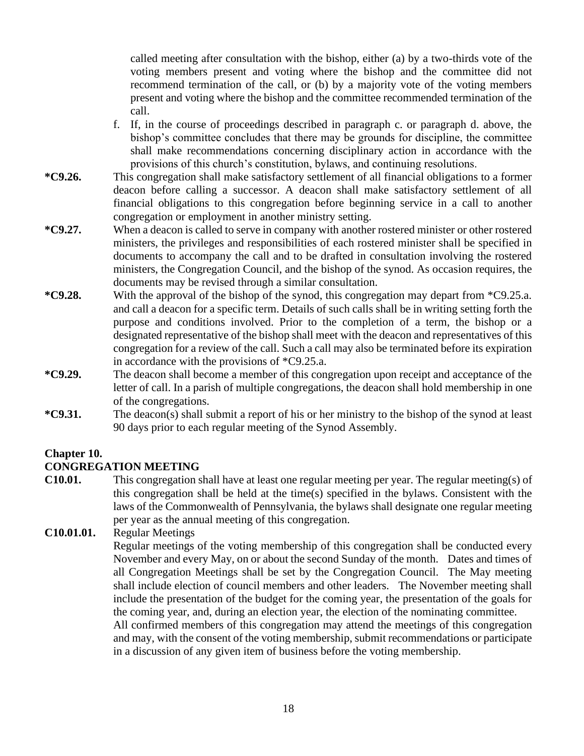called meeting after consultation with the bishop, either (a) by a two-thirds vote of the voting members present and voting where the bishop and the committee did not recommend termination of the call, or (b) by a majority vote of the voting members present and voting where the bishop and the committee recommended termination of the call.

- f. If, in the course of proceedings described in paragraph c. or paragraph d. above, the bishop's committee concludes that there may be grounds for discipline, the committee shall make recommendations concerning disciplinary action in accordance with the provisions of this church's constitution, bylaws, and continuing resolutions.
- **\*C9.26.** This congregation shall make satisfactory settlement of all financial obligations to a former deacon before calling a successor. A deacon shall make satisfactory settlement of all financial obligations to this congregation before beginning service in a call to another congregation or employment in another ministry setting.
- **\*C9.27.** When a deacon is called to serve in company with another rostered minister or other rostered ministers, the privileges and responsibilities of each rostered minister shall be specified in documents to accompany the call and to be drafted in consultation involving the rostered ministers, the Congregation Council, and the bishop of the synod. As occasion requires, the documents may be revised through a similar consultation.
- **\*C9.28.** With the approval of the bishop of the synod, this congregation may depart from \*C9.25.a. and call a deacon for a specific term. Details of such calls shall be in writing setting forth the purpose and conditions involved. Prior to the completion of a term, the bishop or a designated representative of the bishop shall meet with the deacon and representatives of this congregation for a review of the call. Such a call may also be terminated before its expiration in accordance with the provisions of \*C9.25.a.
- **\*C9.29.** The deacon shall become a member of this congregation upon receipt and acceptance of the letter of call. In a parish of multiple congregations, the deacon shall hold membership in one of the congregations.
- **\*C9.31.** The deacon(s) shall submit a report of his or her ministry to the bishop of the synod at least 90 days prior to each regular meeting of the Synod Assembly.

# **Chapter 10.**

# **CONGREGATION MEETING**

**C10.01.** This congregation shall have at least one regular meeting per year. The regular meeting(s) of this congregation shall be held at the time(s) specified in the bylaws. Consistent with the laws of the Commonwealth of Pennsylvania, the bylaws shall designate one regular meeting per year as the annual meeting of this congregation.

### **C10.01.01.** Regular Meetings

Regular meetings of the voting membership of this congregation shall be conducted every November and every May, on or about the second Sunday of the month. Dates and times of all Congregation Meetings shall be set by the Congregation Council. The May meeting shall include election of council members and other leaders. The November meeting shall include the presentation of the budget for the coming year, the presentation of the goals for the coming year, and, during an election year, the election of the nominating committee. All confirmed members of this congregation may attend the meetings of this congregation and may, with the consent of the voting membership, submit recommendations or participate in a discussion of any given item of business before the voting membership.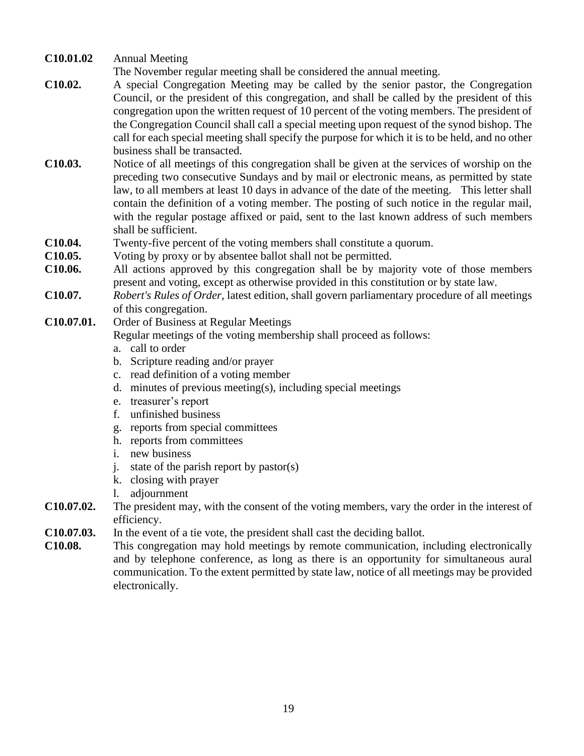**C10.01.02** Annual Meeting

The November regular meeting shall be considered the annual meeting.

- **C10.02.** A special Congregation Meeting may be called by the senior pastor, the Congregation Council, or the president of this congregation, and shall be called by the president of this congregation upon the written request of 10 percent of the voting members. The president of the Congregation Council shall call a special meeting upon request of the synod bishop. The call for each special meeting shall specify the purpose for which it is to be held, and no other business shall be transacted.
- **C10.03.** Notice of all meetings of this congregation shall be given at the services of worship on the preceding two consecutive Sundays and by mail or electronic means, as permitted by state law, to all members at least 10 days in advance of the date of the meeting. This letter shall contain the definition of a voting member. The posting of such notice in the regular mail, with the regular postage affixed or paid, sent to the last known address of such members shall be sufficient.
- **C10.04.** Twenty-five percent of the voting members shall constitute a quorum.
- **C10.05.** Voting by proxy or by absentee ballot shall not be permitted.
- **C10.06.** All actions approved by this congregation shall be by majority vote of those members present and voting, except as otherwise provided in this constitution or by state law.
- **C10.07.** *Robert's Rules of Order*, latest edition, shall govern parliamentary procedure of all meetings of this congregation.
- **C10.07.01.** Order of Business at Regular Meetings Regular meetings of the voting membership shall proceed as follows:
	- a. call to order
	- b. Scripture reading and/or prayer
	- c. read definition of a voting member
	- d. minutes of previous meeting(s), including special meetings
	- e. treasurer's report
	- f. unfinished business
	- g. reports from special committees
	- h. reports from committees
	- i. new business
	- j. state of the parish report by pastor(s)
	- k. closing with prayer
	- l. adjournment
- **C10.07.02.** The president may, with the consent of the voting members, vary the order in the interest of efficiency.
- **C10.07.03.** In the event of a tie vote, the president shall cast the deciding ballot.
- **C10.08.** This congregation may hold meetings by remote communication, including electronically and by telephone conference, as long as there is an opportunity for simultaneous aural communication. To the extent permitted by state law, notice of all meetings may be provided electronically.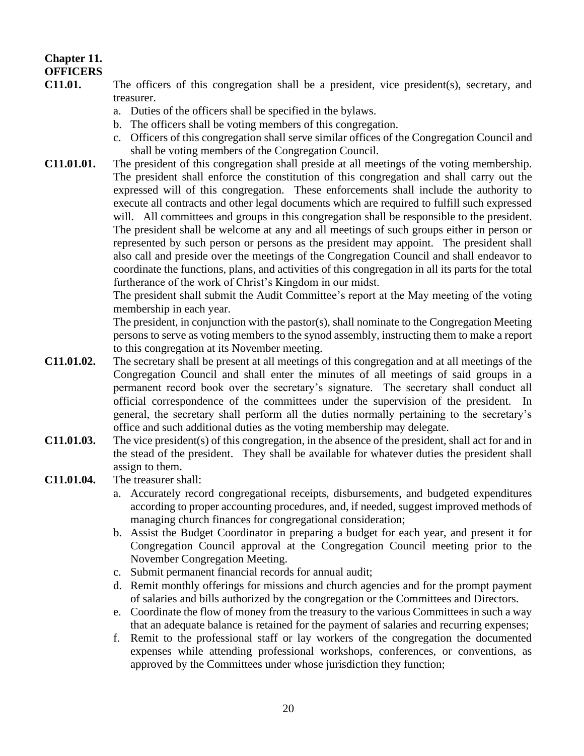# **Chapter 11. OFFICERS**

- **C11.01.** The officers of this congregation shall be a president, vice president(s), secretary, and treasurer.
	- a. Duties of the officers shall be specified in the bylaws.
	- b. The officers shall be voting members of this congregation.
	- c. Officers of this congregation shall serve similar offices of the Congregation Council and shall be voting members of the Congregation Council.

**C11.01.01.** The president of this congregation shall preside at all meetings of the voting membership. The president shall enforce the constitution of this congregation and shall carry out the expressed will of this congregation. These enforcements shall include the authority to execute all contracts and other legal documents which are required to fulfill such expressed will. All committees and groups in this congregation shall be responsible to the president. The president shall be welcome at any and all meetings of such groups either in person or represented by such person or persons as the president may appoint. The president shall also call and preside over the meetings of the Congregation Council and shall endeavor to coordinate the functions, plans, and activities of this congregation in all its parts for the total furtherance of the work of Christ's Kingdom in our midst.

The president shall submit the Audit Committee's report at the May meeting of the voting membership in each year.

The president, in conjunction with the pastor(s), shall nominate to the Congregation Meeting persons to serve as voting members to the synod assembly, instructing them to make a report to this congregation at its November meeting.

- **C11.01.02.** The secretary shall be present at all meetings of this congregation and at all meetings of the Congregation Council and shall enter the minutes of all meetings of said groups in a permanent record book over the secretary's signature. The secretary shall conduct all official correspondence of the committees under the supervision of the president. In general, the secretary shall perform all the duties normally pertaining to the secretary's office and such additional duties as the voting membership may delegate.
- **C11.01.03.** The vice president(s) of this congregation, in the absence of the president, shall act for and in the stead of the president. They shall be available for whatever duties the president shall assign to them.
- **C11.01.04.** The treasurer shall:
	- a. Accurately record congregational receipts, disbursements, and budgeted expenditures according to proper accounting procedures, and, if needed, suggest improved methods of managing church finances for congregational consideration;
	- b. Assist the Budget Coordinator in preparing a budget for each year, and present it for Congregation Council approval at the Congregation Council meeting prior to the November Congregation Meeting.
	- c. Submit permanent financial records for annual audit;
	- d. Remit monthly offerings for missions and church agencies and for the prompt payment of salaries and bills authorized by the congregation or the Committees and Directors.
	- e. Coordinate the flow of money from the treasury to the various Committees in such a way that an adequate balance is retained for the payment of salaries and recurring expenses;
	- f. Remit to the professional staff or lay workers of the congregation the documented expenses while attending professional workshops, conferences, or conventions, as approved by the Committees under whose jurisdiction they function;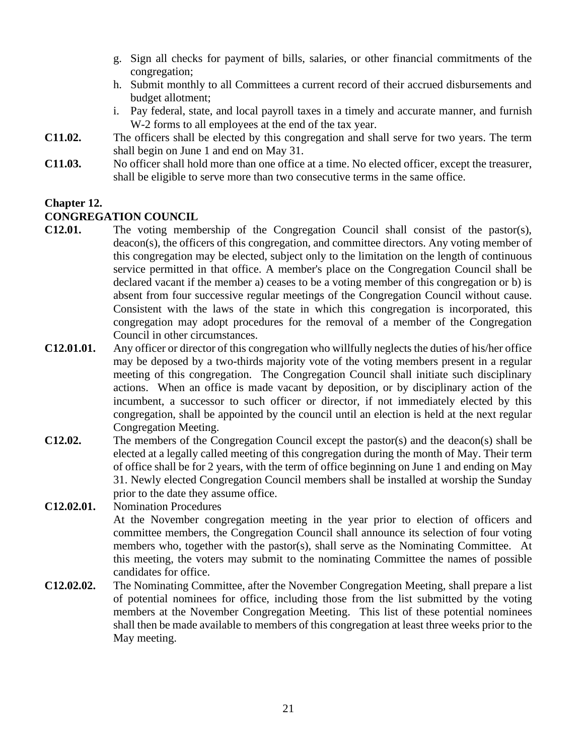- g. Sign all checks for payment of bills, salaries, or other financial commitments of the congregation;
- h. Submit monthly to all Committees a current record of their accrued disbursements and budget allotment;
- i. Pay federal, state, and local payroll taxes in a timely and accurate manner, and furnish W-2 forms to all employees at the end of the tax year.
- **C11.02.** The officers shall be elected by this congregation and shall serve for two years. The term shall begin on June 1 and end on May 31.
- **C11.03.** No officer shall hold more than one office at a time. No elected officer, except the treasurer, shall be eligible to serve more than two consecutive terms in the same office.

## **Chapter 12.**

#### **CONGREGATION COUNCIL**

- **C12.01.** The voting membership of the Congregation Council shall consist of the pastor(s), deacon(s), the officers of this congregation, and committee directors. Any voting member of this congregation may be elected, subject only to the limitation on the length of continuous service permitted in that office. A member's place on the Congregation Council shall be declared vacant if the member a) ceases to be a voting member of this congregation or b) is absent from four successive regular meetings of the Congregation Council without cause. Consistent with the laws of the state in which this congregation is incorporated, this congregation may adopt procedures for the removal of a member of the Congregation Council in other circumstances.
- **C12.01.01.** Any officer or director of this congregation who willfully neglects the duties of his/her office may be deposed by a two-thirds majority vote of the voting members present in a regular meeting of this congregation. The Congregation Council shall initiate such disciplinary actions. When an office is made vacant by deposition, or by disciplinary action of the incumbent, a successor to such officer or director, if not immediately elected by this congregation, shall be appointed by the council until an election is held at the next regular Congregation Meeting.
- **C12.02.** The members of the Congregation Council except the pastor(s) and the deacon(s) shall be elected at a legally called meeting of this congregation during the month of May. Their term of office shall be for 2 years, with the term of office beginning on June 1 and ending on May 31. Newly elected Congregation Council members shall be installed at worship the Sunday prior to the date they assume office.
- **C12.02.01.** Nomination Procedures At the November congregation meeting in the year prior to election of officers and committee members, the Congregation Council shall announce its selection of four voting members who, together with the pastor(s), shall serve as the Nominating Committee. At this meeting, the voters may submit to the nominating Committee the names of possible candidates for office.
- **C12.02.02.** The Nominating Committee, after the November Congregation Meeting, shall prepare a list of potential nominees for office, including those from the list submitted by the voting members at the November Congregation Meeting. This list of these potential nominees shall then be made available to members of this congregation at least three weeks prior to the May meeting.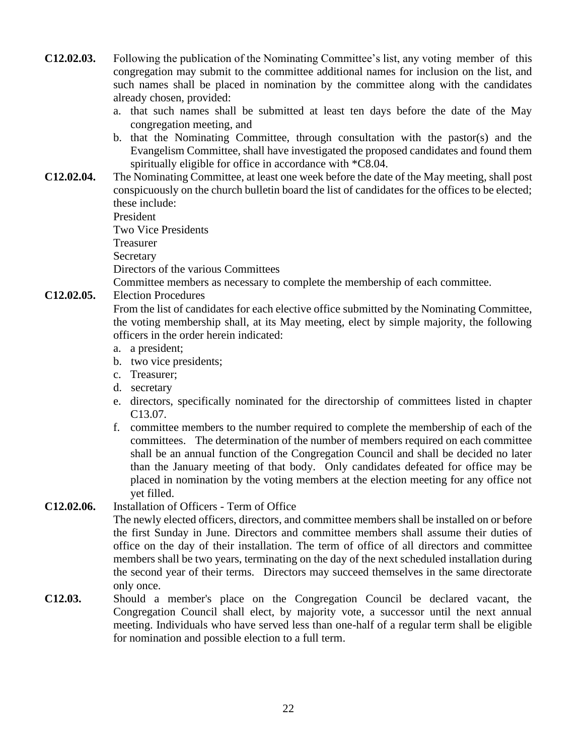- **C12.02.03.** Following the publication of the Nominating Committee's list, any voting member of this congregation may submit to the committee additional names for inclusion on the list, and such names shall be placed in nomination by the committee along with the candidates already chosen, provided:
	- a. that such names shall be submitted at least ten days before the date of the May congregation meeting, and
	- b. that the Nominating Committee, through consultation with the pastor(s) and the Evangelism Committee, shall have investigated the proposed candidates and found them spiritually eligible for office in accordance with \*C8.04.
- **C12.02.04.** The Nominating Committee, at least one week before the date of the May meeting, shall post conspicuously on the church bulletin board the list of candidates for the offices to be elected; these include:

President

Two Vice Presidents

Treasurer

**Secretary** 

Directors of the various Committees

Committee members as necessary to complete the membership of each committee.

**C12.02.05.** Election Procedures

From the list of candidates for each elective office submitted by the Nominating Committee, the voting membership shall, at its May meeting, elect by simple majority, the following officers in the order herein indicated:

- a. a president;
- b. two vice presidents;
- c. Treasurer;
- d. secretary
- e. directors, specifically nominated for the directorship of committees listed in chapter C13.07.
- f. committee members to the number required to complete the membership of each of the committees. The determination of the number of members required on each committee shall be an annual function of the Congregation Council and shall be decided no later than the January meeting of that body. Only candidates defeated for office may be placed in nomination by the voting members at the election meeting for any office not yet filled.

### **C12.02.06.** Installation of Officers - Term of Office

The newly elected officers, directors, and committee members shall be installed on or before the first Sunday in June. Directors and committee members shall assume their duties of office on the day of their installation. The term of office of all directors and committee members shall be two years, terminating on the day of the next scheduled installation during the second year of their terms. Directors may succeed themselves in the same directorate only once.

**C12.03.** Should a member's place on the Congregation Council be declared vacant, the Congregation Council shall elect, by majority vote, a successor until the next annual meeting. Individuals who have served less than one-half of a regular term shall be eligible for nomination and possible election to a full term.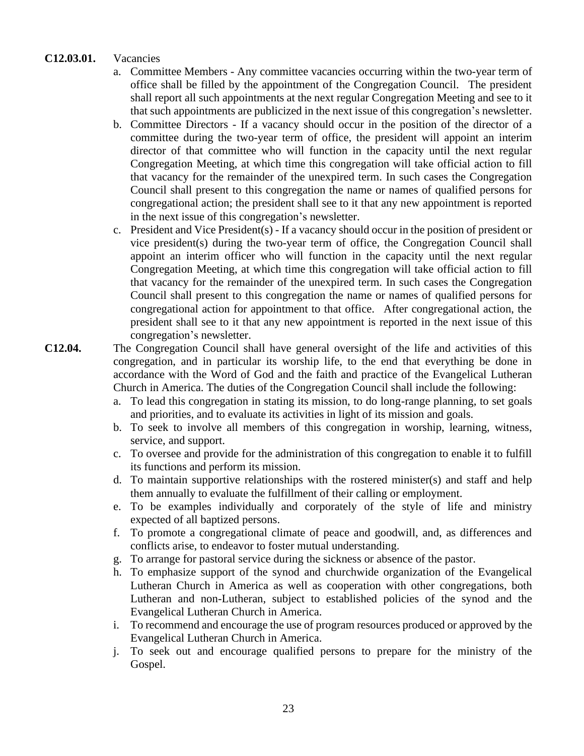#### **C12.03.01.** Vacancies

- a. Committee Members Any committee vacancies occurring within the two-year term of office shall be filled by the appointment of the Congregation Council. The president shall report all such appointments at the next regular Congregation Meeting and see to it that such appointments are publicized in the next issue of this congregation's newsletter.
- b. Committee Directors If a vacancy should occur in the position of the director of a committee during the two-year term of office, the president will appoint an interim director of that committee who will function in the capacity until the next regular Congregation Meeting, at which time this congregation will take official action to fill that vacancy for the remainder of the unexpired term. In such cases the Congregation Council shall present to this congregation the name or names of qualified persons for congregational action; the president shall see to it that any new appointment is reported in the next issue of this congregation's newsletter.
- c. President and Vice President(s) If a vacancy should occur in the position of president or vice president(s) during the two-year term of office, the Congregation Council shall appoint an interim officer who will function in the capacity until the next regular Congregation Meeting, at which time this congregation will take official action to fill that vacancy for the remainder of the unexpired term. In such cases the Congregation Council shall present to this congregation the name or names of qualified persons for congregational action for appointment to that office. After congregational action, the president shall see to it that any new appointment is reported in the next issue of this congregation's newsletter.
- **C12.04.** The Congregation Council shall have general oversight of the life and activities of this congregation, and in particular its worship life, to the end that everything be done in accordance with the Word of God and the faith and practice of the Evangelical Lutheran Church in America. The duties of the Congregation Council shall include the following:
	- a. To lead this congregation in stating its mission, to do long-range planning, to set goals and priorities, and to evaluate its activities in light of its mission and goals.
	- b. To seek to involve all members of this congregation in worship, learning, witness, service, and support.
	- c. To oversee and provide for the administration of this congregation to enable it to fulfill its functions and perform its mission.
	- d. To maintain supportive relationships with the rostered minister(s) and staff and help them annually to evaluate the fulfillment of their calling or employment.
	- e. To be examples individually and corporately of the style of life and ministry expected of all baptized persons.
	- f. To promote a congregational climate of peace and goodwill, and, as differences and conflicts arise, to endeavor to foster mutual understanding.
	- g. To arrange for pastoral service during the sickness or absence of the pastor.
	- h. To emphasize support of the synod and churchwide organization of the Evangelical Lutheran Church in America as well as cooperation with other congregations, both Lutheran and non-Lutheran, subject to established policies of the synod and the Evangelical Lutheran Church in America.
	- i. To recommend and encourage the use of program resources produced or approved by the Evangelical Lutheran Church in America.
	- j. To seek out and encourage qualified persons to prepare for the ministry of the Gospel.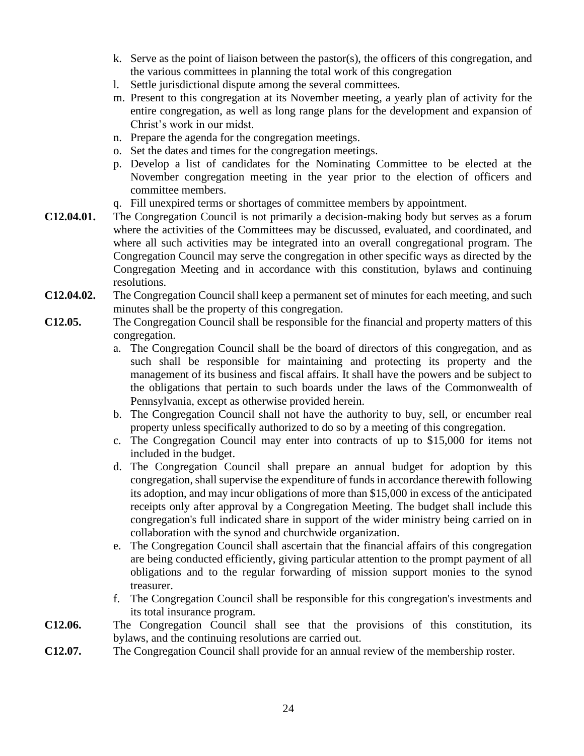- k. Serve as the point of liaison between the pastor(s), the officers of this congregation, and the various committees in planning the total work of this congregation
- l. Settle jurisdictional dispute among the several committees.
- m. Present to this congregation at its November meeting, a yearly plan of activity for the entire congregation, as well as long range plans for the development and expansion of Christ's work in our midst.
- n. Prepare the agenda for the congregation meetings.
- o. Set the dates and times for the congregation meetings.
- p. Develop a list of candidates for the Nominating Committee to be elected at the November congregation meeting in the year prior to the election of officers and committee members.
- q. Fill unexpired terms or shortages of committee members by appointment.
- **C12.04.01.** The Congregation Council is not primarily a decision-making body but serves as a forum where the activities of the Committees may be discussed, evaluated, and coordinated, and where all such activities may be integrated into an overall congregational program. The Congregation Council may serve the congregation in other specific ways as directed by the Congregation Meeting and in accordance with this constitution, bylaws and continuing resolutions.
- **C12.04.02.** The Congregation Council shall keep a permanent set of minutes for each meeting, and such minutes shall be the property of this congregation.
- **C12.05.** The Congregation Council shall be responsible for the financial and property matters of this congregation.
	- a. The Congregation Council shall be the board of directors of this congregation, and as such shall be responsible for maintaining and protecting its property and the management of its business and fiscal affairs. It shall have the powers and be subject to the obligations that pertain to such boards under the laws of the Commonwealth of Pennsylvania, except as otherwise provided herein.
	- b. The Congregation Council shall not have the authority to buy, sell, or encumber real property unless specifically authorized to do so by a meeting of this congregation.
	- c. The Congregation Council may enter into contracts of up to \$15,000 for items not included in the budget.
	- d. The Congregation Council shall prepare an annual budget for adoption by this congregation, shall supervise the expenditure of funds in accordance therewith following its adoption, and may incur obligations of more than \$15,000 in excess of the anticipated receipts only after approval by a Congregation Meeting. The budget shall include this congregation's full indicated share in support of the wider ministry being carried on in collaboration with the synod and churchwide organization.
	- e. The Congregation Council shall ascertain that the financial affairs of this congregation are being conducted efficiently, giving particular attention to the prompt payment of all obligations and to the regular forwarding of mission support monies to the synod treasurer.
	- f. The Congregation Council shall be responsible for this congregation's investments and its total insurance program.
- **C12.06.** The Congregation Council shall see that the provisions of this constitution, its bylaws, and the continuing resolutions are carried out.
- **C12.07.** The Congregation Council shall provide for an annual review of the membership roster.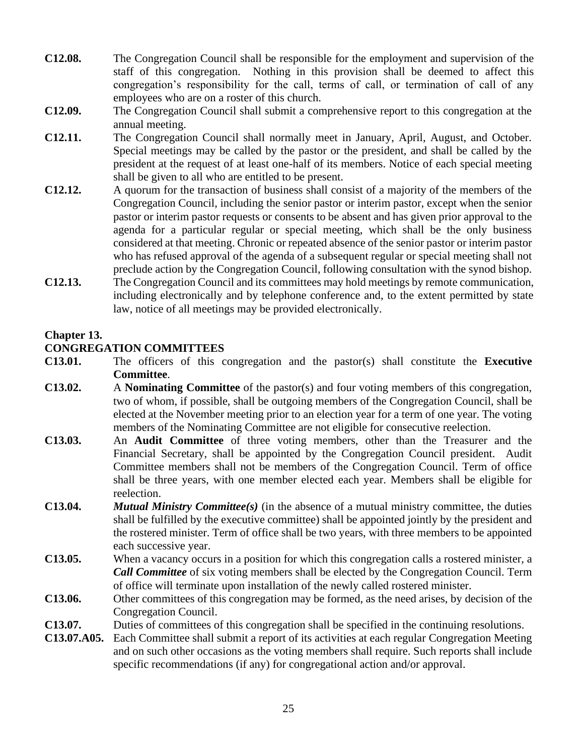- **C12.08.** The Congregation Council shall be responsible for the employment and supervision of the staff of this congregation. Nothing in this provision shall be deemed to affect this congregation's responsibility for the call, terms of call, or termination of call of any employees who are on a roster of this church.
- **C12.09.** The Congregation Council shall submit a comprehensive report to this congregation at the annual meeting.
- **C12.11.** The Congregation Council shall normally meet in January, April, August, and October. Special meetings may be called by the pastor or the president, and shall be called by the president at the request of at least one-half of its members. Notice of each special meeting shall be given to all who are entitled to be present.
- **C12.12.** A quorum for the transaction of business shall consist of a majority of the members of the Congregation Council, including the senior pastor or interim pastor, except when the senior pastor or interim pastor requests or consents to be absent and has given prior approval to the agenda for a particular regular or special meeting, which shall be the only business considered at that meeting. Chronic or repeated absence of the senior pastor or interim pastor who has refused approval of the agenda of a subsequent regular or special meeting shall not preclude action by the Congregation Council, following consultation with the synod bishop.
- **C12.13.** The Congregation Council and its committees may hold meetings by remote communication, including electronically and by telephone conference and, to the extent permitted by state law, notice of all meetings may be provided electronically.

#### **Chapter 13.**

### **CONGREGATION COMMITTEES**

- **C13.01.** The officers of this congregation and the pastor(s) shall constitute the **Executive Committee**.
- **C13.02.** A **Nominating Committee** of the pastor(s) and four voting members of this congregation, two of whom, if possible, shall be outgoing members of the Congregation Council, shall be elected at the November meeting prior to an election year for a term of one year. The voting members of the Nominating Committee are not eligible for consecutive reelection.
- **C13.03.** An **Audit Committee** of three voting members, other than the Treasurer and the Financial Secretary, shall be appointed by the Congregation Council president. Audit Committee members shall not be members of the Congregation Council. Term of office shall be three years, with one member elected each year. Members shall be eligible for reelection.
- **C13.04.** *Mutual Ministry Committee(s)* (in the absence of a mutual ministry committee, the duties shall be fulfilled by the executive committee) shall be appointed jointly by the president and the rostered minister. Term of office shall be two years, with three members to be appointed each successive year.
- **C13.05.** When a vacancy occurs in a position for which this congregation calls a rostered minister, a *Call Committee* of six voting members shall be elected by the Congregation Council. Term of office will terminate upon installation of the newly called rostered minister.
- **C13.06.** Other committees of this congregation may be formed, as the need arises, by decision of the Congregation Council.
- **C13.07.** Duties of committees of this congregation shall be specified in the continuing resolutions.
- **C13.07.A05.** Each Committee shall submit a report of its activities at each regular Congregation Meeting and on such other occasions as the voting members shall require. Such reports shall include specific recommendations (if any) for congregational action and/or approval.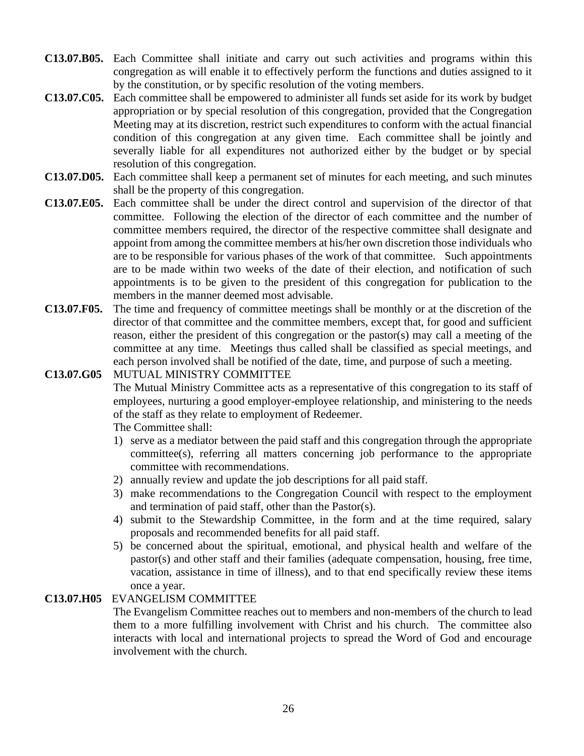- **C13.07.B05.** Each Committee shall initiate and carry out such activities and programs within this congregation as will enable it to effectively perform the functions and duties assigned to it by the constitution, or by specific resolution of the voting members.
- **C13.07.C05.** Each committee shall be empowered to administer all funds set aside for its work by budget appropriation or by special resolution of this congregation, provided that the Congregation Meeting may at its discretion, restrict such expenditures to conform with the actual financial condition of this congregation at any given time. Each committee shall be jointly and severally liable for all expenditures not authorized either by the budget or by special resolution of this congregation.
- **C13.07.D05.** Each committee shall keep a permanent set of minutes for each meeting, and such minutes shall be the property of this congregation.
- **C13.07.E05.** Each committee shall be under the direct control and supervision of the director of that committee. Following the election of the director of each committee and the number of committee members required, the director of the respective committee shall designate and appoint from among the committee members at his/her own discretion those individuals who are to be responsible for various phases of the work of that committee. Such appointments are to be made within two weeks of the date of their election, and notification of such appointments is to be given to the president of this congregation for publication to the members in the manner deemed most advisable.
- **C13.07.F05.** The time and frequency of committee meetings shall be monthly or at the discretion of the director of that committee and the committee members, except that, for good and sufficient reason, either the president of this congregation or the pastor(s) may call a meeting of the committee at any time. Meetings thus called shall be classified as special meetings, and each person involved shall be notified of the date, time, and purpose of such a meeting.

# **C13.07.G05** MUTUAL MINISTRY COMMITTEE

The Mutual Ministry Committee acts as a representative of this congregation to its staff of employees, nurturing a good employer-employee relationship, and ministering to the needs of the staff as they relate to employment of Redeemer.

The Committee shall:

- 1) serve as a mediator between the paid staff and this congregation through the appropriate committee(s), referring all matters concerning job performance to the appropriate committee with recommendations.
- 2) annually review and update the job descriptions for all paid staff.
- 3) make recommendations to the Congregation Council with respect to the employment and termination of paid staff, other than the Pastor(s).
- 4) submit to the Stewardship Committee, in the form and at the time required, salary proposals and recommended benefits for all paid staff.
- 5) be concerned about the spiritual, emotional, and physical health and welfare of the pastor(s) and other staff and their families (adequate compensation, housing, free time, vacation, assistance in time of illness), and to that end specifically review these items once a year.

#### **C13.07.H05** EVANGELISM COMMITTEE

The Evangelism Committee reaches out to members and non-members of the church to lead them to a more fulfilling involvement with Christ and his church. The committee also interacts with local and international projects to spread the Word of God and encourage involvement with the church.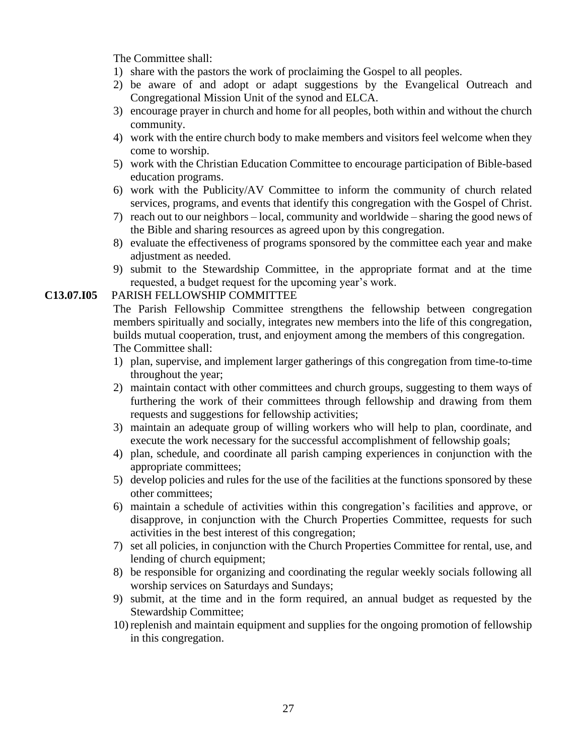The Committee shall:

- 1) share with the pastors the work of proclaiming the Gospel to all peoples.
- 2) be aware of and adopt or adapt suggestions by the Evangelical Outreach and Congregational Mission Unit of the synod and ELCA.
- 3) encourage prayer in church and home for all peoples, both within and without the church community.
- 4) work with the entire church body to make members and visitors feel welcome when they come to worship.
- 5) work with the Christian Education Committee to encourage participation of Bible-based education programs.
- 6) work with the Publicity/AV Committee to inform the community of church related services, programs, and events that identify this congregation with the Gospel of Christ.
- 7) reach out to our neighbors local, community and worldwide sharing the good news of the Bible and sharing resources as agreed upon by this congregation.
- 8) evaluate the effectiveness of programs sponsored by the committee each year and make adjustment as needed.
- 9) submit to the Stewardship Committee, in the appropriate format and at the time requested, a budget request for the upcoming year's work.

#### **C13.07.I05** PARISH FELLOWSHIP COMMITTEE

The Parish Fellowship Committee strengthens the fellowship between congregation members spiritually and socially, integrates new members into the life of this congregation, builds mutual cooperation, trust, and enjoyment among the members of this congregation. The Committee shall:

- 1) plan, supervise, and implement larger gatherings of this congregation from time-to-time throughout the year;
- 2) maintain contact with other committees and church groups, suggesting to them ways of furthering the work of their committees through fellowship and drawing from them requests and suggestions for fellowship activities;
- 3) maintain an adequate group of willing workers who will help to plan, coordinate, and execute the work necessary for the successful accomplishment of fellowship goals;
- 4) plan, schedule, and coordinate all parish camping experiences in conjunction with the appropriate committees;
- 5) develop policies and rules for the use of the facilities at the functions sponsored by these other committees;
- 6) maintain a schedule of activities within this congregation's facilities and approve, or disapprove, in conjunction with the Church Properties Committee, requests for such activities in the best interest of this congregation;
- 7) set all policies, in conjunction with the Church Properties Committee for rental, use, and lending of church equipment;
- 8) be responsible for organizing and coordinating the regular weekly socials following all worship services on Saturdays and Sundays;
- 9) submit, at the time and in the form required, an annual budget as requested by the Stewardship Committee;
- 10) replenish and maintain equipment and supplies for the ongoing promotion of fellowship in this congregation.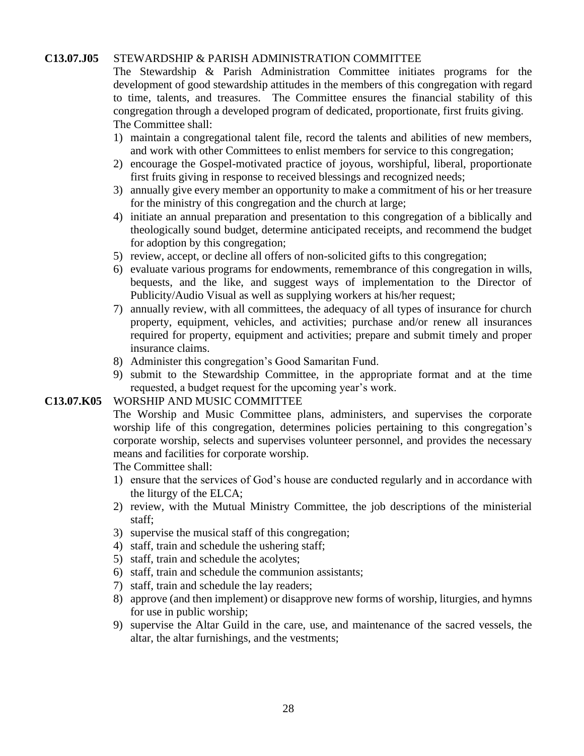#### **C13.07.J05** STEWARDSHIP & PARISH ADMINISTRATION COMMITTEE

 The Stewardship & Parish Administration Committee initiates programs for the development of good stewardship attitudes in the members of this congregation with regard to time, talents, and treasures. The Committee ensures the financial stability of this congregation through a developed program of dedicated, proportionate, first fruits giving. The Committee shall:

- 1) maintain a congregational talent file, record the talents and abilities of new members, and work with other Committees to enlist members for service to this congregation;
- 2) encourage the Gospel-motivated practice of joyous, worshipful, liberal, proportionate first fruits giving in response to received blessings and recognized needs;
- 3) annually give every member an opportunity to make a commitment of his or her treasure for the ministry of this congregation and the church at large;
- 4) initiate an annual preparation and presentation to this congregation of a biblically and theologically sound budget, determine anticipated receipts, and recommend the budget for adoption by this congregation;
- 5) review, accept, or decline all offers of non-solicited gifts to this congregation;
- 6) evaluate various programs for endowments, remembrance of this congregation in wills, bequests, and the like, and suggest ways of implementation to the Director of Publicity/Audio Visual as well as supplying workers at his/her request;
- 7) annually review, with all committees, the adequacy of all types of insurance for church property, equipment, vehicles, and activities; purchase and/or renew all insurances required for property, equipment and activities; prepare and submit timely and proper insurance claims.
- 8) Administer this congregation's Good Samaritan Fund.
- 9) submit to the Stewardship Committee, in the appropriate format and at the time requested, a budget request for the upcoming year's work.

#### **C13.07.K05** WORSHIP AND MUSIC COMMITTEE

The Worship and Music Committee plans, administers, and supervises the corporate worship life of this congregation, determines policies pertaining to this congregation's corporate worship, selects and supervises volunteer personnel, and provides the necessary means and facilities for corporate worship.

The Committee shall:

- 1) ensure that the services of God's house are conducted regularly and in accordance with the liturgy of the ELCA;
- 2) review, with the Mutual Ministry Committee, the job descriptions of the ministerial staff;
- 3) supervise the musical staff of this congregation;
- 4) staff, train and schedule the ushering staff;
- 5) staff, train and schedule the acolytes;
- 6) staff, train and schedule the communion assistants;
- 7) staff, train and schedule the lay readers;
- 8) approve (and then implement) or disapprove new forms of worship, liturgies, and hymns for use in public worship;
- 9) supervise the Altar Guild in the care, use, and maintenance of the sacred vessels, the altar, the altar furnishings, and the vestments;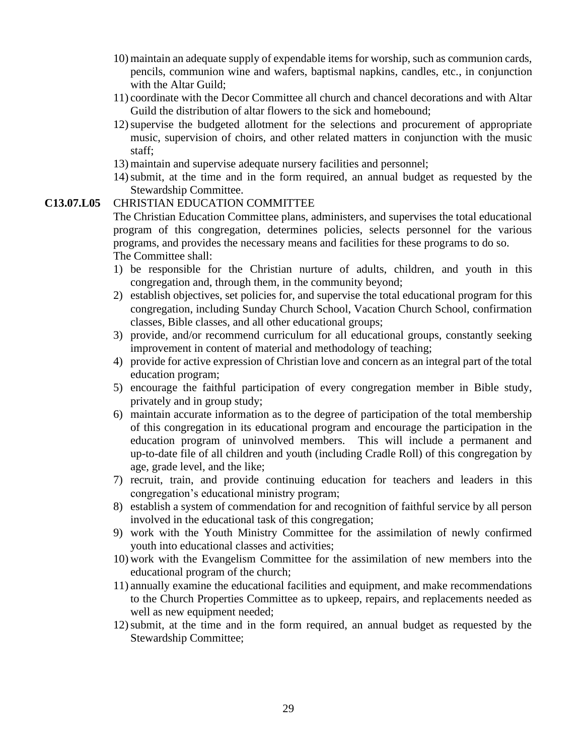- 10) maintain an adequate supply of expendable items for worship, such as communion cards, pencils, communion wine and wafers, baptismal napkins, candles, etc., in conjunction with the Altar Guild;
- 11) coordinate with the Decor Committee all church and chancel decorations and with Altar Guild the distribution of altar flowers to the sick and homebound;
- 12)supervise the budgeted allotment for the selections and procurement of appropriate music, supervision of choirs, and other related matters in conjunction with the music staff;
- 13) maintain and supervise adequate nursery facilities and personnel;
- 14)submit, at the time and in the form required, an annual budget as requested by the Stewardship Committee.

#### **C13.07.L05** CHRISTIAN EDUCATION COMMITTEE

The Christian Education Committee plans, administers, and supervises the total educational program of this congregation, determines policies, selects personnel for the various programs, and provides the necessary means and facilities for these programs to do so. The Committee shall:

- 1) be responsible for the Christian nurture of adults, children, and youth in this congregation and, through them, in the community beyond;
- 2) establish objectives, set policies for, and supervise the total educational program for this congregation, including Sunday Church School, Vacation Church School, confirmation classes, Bible classes, and all other educational groups;
- 3) provide, and/or recommend curriculum for all educational groups, constantly seeking improvement in content of material and methodology of teaching;
- 4) provide for active expression of Christian love and concern as an integral part of the total education program;
- 5) encourage the faithful participation of every congregation member in Bible study, privately and in group study;
- 6) maintain accurate information as to the degree of participation of the total membership of this congregation in its educational program and encourage the participation in the education program of uninvolved members. This will include a permanent and up-to-date file of all children and youth (including Cradle Roll) of this congregation by age, grade level, and the like;
- 7) recruit, train, and provide continuing education for teachers and leaders in this congregation's educational ministry program;
- 8) establish a system of commendation for and recognition of faithful service by all person involved in the educational task of this congregation;
- 9) work with the Youth Ministry Committee for the assimilation of newly confirmed youth into educational classes and activities;
- 10) work with the Evangelism Committee for the assimilation of new members into the educational program of the church;
- 11) annually examine the educational facilities and equipment, and make recommendations to the Church Properties Committee as to upkeep, repairs, and replacements needed as well as new equipment needed;
- 12)submit, at the time and in the form required, an annual budget as requested by the Stewardship Committee;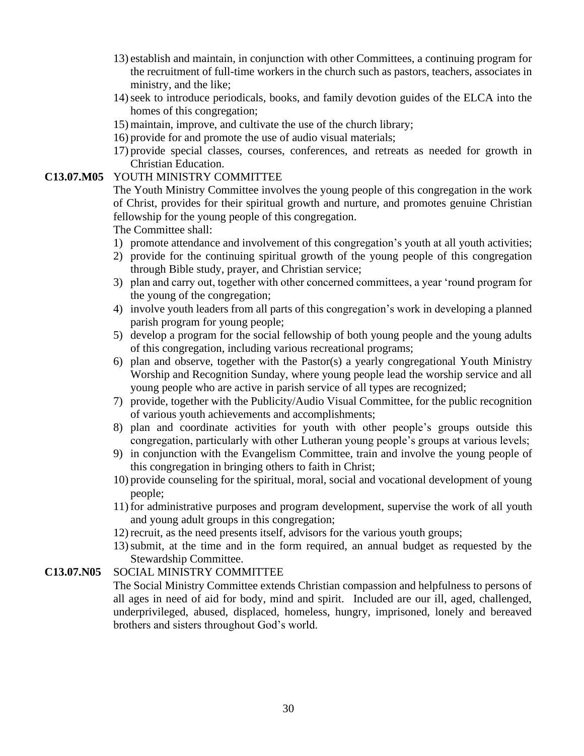- 13) establish and maintain, in conjunction with other Committees, a continuing program for the recruitment of full-time workers in the church such as pastors, teachers, associates in ministry, and the like;
- 14)seek to introduce periodicals, books, and family devotion guides of the ELCA into the homes of this congregation;
- 15) maintain, improve, and cultivate the use of the church library;
- 16) provide for and promote the use of audio visual materials;
- 17) provide special classes, courses, conferences, and retreats as needed for growth in Christian Education.

#### **C13.07.M05** YOUTH MINISTRY COMMITTEE

The Youth Ministry Committee involves the young people of this congregation in the work of Christ, provides for their spiritual growth and nurture, and promotes genuine Christian fellowship for the young people of this congregation.

The Committee shall:

- 1) promote attendance and involvement of this congregation's youth at all youth activities;
- 2) provide for the continuing spiritual growth of the young people of this congregation through Bible study, prayer, and Christian service;
- 3) plan and carry out, together with other concerned committees, a year 'round program for the young of the congregation;
- 4) involve youth leaders from all parts of this congregation's work in developing a planned parish program for young people;
- 5) develop a program for the social fellowship of both young people and the young adults of this congregation, including various recreational programs;
- 6) plan and observe, together with the Pastor(s) a yearly congregational Youth Ministry Worship and Recognition Sunday, where young people lead the worship service and all young people who are active in parish service of all types are recognized;
- 7) provide, together with the Publicity/Audio Visual Committee, for the public recognition of various youth achievements and accomplishments;
- 8) plan and coordinate activities for youth with other people's groups outside this congregation, particularly with other Lutheran young people's groups at various levels;
- 9) in conjunction with the Evangelism Committee, train and involve the young people of this congregation in bringing others to faith in Christ;
- 10) provide counseling for the spiritual, moral, social and vocational development of young people;
- 11) for administrative purposes and program development, supervise the work of all youth and young adult groups in this congregation;
- 12) recruit, as the need presents itself, advisors for the various youth groups;
- 13)submit, at the time and in the form required, an annual budget as requested by the Stewardship Committee.

#### **C13.07.N05** SOCIAL MINISTRY COMMITTEE

The Social Ministry Committee extends Christian compassion and helpfulness to persons of all ages in need of aid for body, mind and spirit. Included are our ill, aged, challenged, underprivileged, abused, displaced, homeless, hungry, imprisoned, lonely and bereaved brothers and sisters throughout God's world.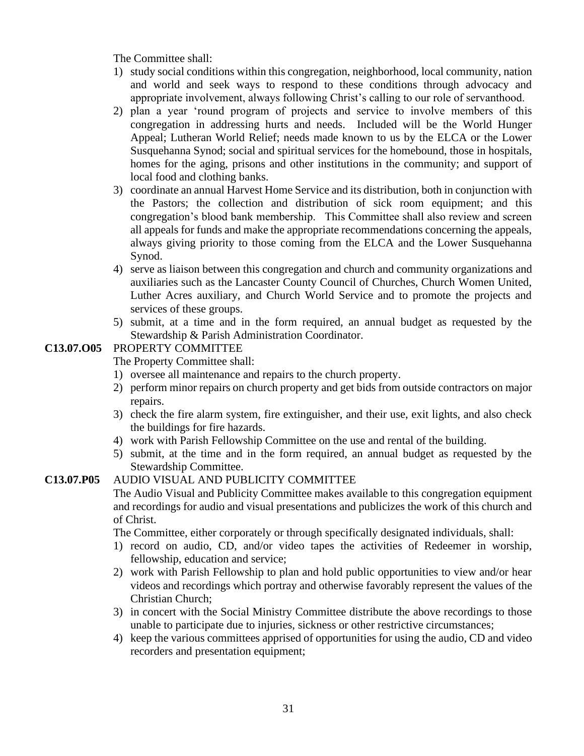The Committee shall:

- 1) study social conditions within this congregation, neighborhood, local community, nation and world and seek ways to respond to these conditions through advocacy and appropriate involvement, always following Christ's calling to our role of servanthood.
- 2) plan a year 'round program of projects and service to involve members of this congregation in addressing hurts and needs. Included will be the World Hunger Appeal; Lutheran World Relief; needs made known to us by the ELCA or the Lower Susquehanna Synod; social and spiritual services for the homebound, those in hospitals, homes for the aging, prisons and other institutions in the community; and support of local food and clothing banks.
- 3) coordinate an annual Harvest Home Service and its distribution, both in conjunction with the Pastors; the collection and distribution of sick room equipment; and this congregation's blood bank membership. This Committee shall also review and screen all appeals for funds and make the appropriate recommendations concerning the appeals, always giving priority to those coming from the ELCA and the Lower Susquehanna Synod.
- 4) serve as liaison between this congregation and church and community organizations and auxiliaries such as the Lancaster County Council of Churches, Church Women United, Luther Acres auxiliary, and Church World Service and to promote the projects and services of these groups.
- 5) submit, at a time and in the form required, an annual budget as requested by the Stewardship & Parish Administration Coordinator.

### **C13.07.O05** PROPERTY COMMITTEE

The Property Committee shall:

- 1) oversee all maintenance and repairs to the church property.
- 2) perform minor repairs on church property and get bids from outside contractors on major repairs.
- 3) check the fire alarm system, fire extinguisher, and their use, exit lights, and also check the buildings for fire hazards.
- 4) work with Parish Fellowship Committee on the use and rental of the building.
- 5) submit, at the time and in the form required, an annual budget as requested by the Stewardship Committee.

# **C13.07.P05** AUDIO VISUAL AND PUBLICITY COMMITTEE

The Audio Visual and Publicity Committee makes available to this congregation equipment and recordings for audio and visual presentations and publicizes the work of this church and of Christ.

The Committee, either corporately or through specifically designated individuals, shall:

- 1) record on audio, CD, and/or video tapes the activities of Redeemer in worship, fellowship, education and service;
- 2) work with Parish Fellowship to plan and hold public opportunities to view and/or hear videos and recordings which portray and otherwise favorably represent the values of the Christian Church;
- 3) in concert with the Social Ministry Committee distribute the above recordings to those unable to participate due to injuries, sickness or other restrictive circumstances;
- 4) keep the various committees apprised of opportunities for using the audio, CD and video recorders and presentation equipment;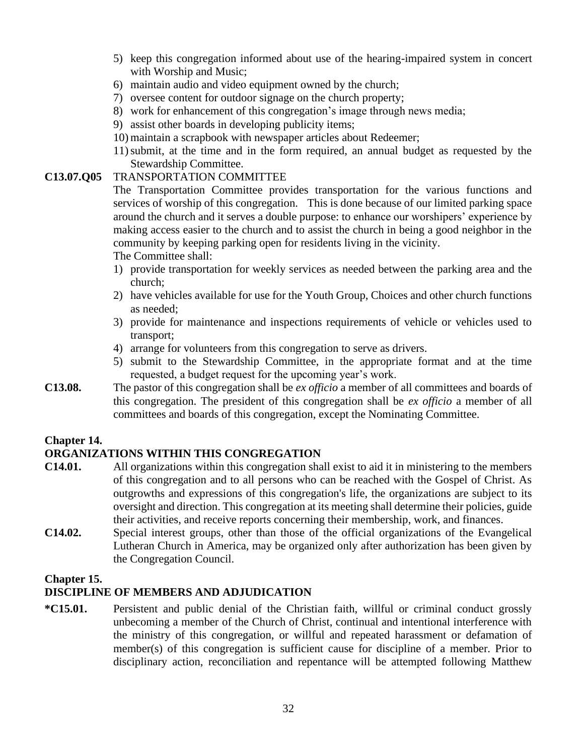- 5) keep this congregation informed about use of the hearing-impaired system in concert with Worship and Music;
- 6) maintain audio and video equipment owned by the church;
- 7) oversee content for outdoor signage on the church property;
- 8) work for enhancement of this congregation's image through news media;
- 9) assist other boards in developing publicity items;
- 10) maintain a scrapbook with newspaper articles about Redeemer;
- 11)submit, at the time and in the form required, an annual budget as requested by the Stewardship Committee.

#### **C13.07.Q05** TRANSPORTATION COMMITTEE

The Transportation Committee provides transportation for the various functions and services of worship of this congregation. This is done because of our limited parking space around the church and it serves a double purpose: to enhance our worshipers' experience by making access easier to the church and to assist the church in being a good neighbor in the community by keeping parking open for residents living in the vicinity.

The Committee shall:

- 1) provide transportation for weekly services as needed between the parking area and the church;
- 2) have vehicles available for use for the Youth Group, Choices and other church functions as needed;
- 3) provide for maintenance and inspections requirements of vehicle or vehicles used to transport;
- 4) arrange for volunteers from this congregation to serve as drivers.
- 5) submit to the Stewardship Committee, in the appropriate format and at the time requested, a budget request for the upcoming year's work.
- **C13.08.** The pastor of this congregation shall be *ex officio* a member of all committees and boards of this congregation. The president of this congregation shall be *ex officio* a member of all committees and boards of this congregation, except the Nominating Committee.

### **Chapter 14.**

### **ORGANIZATIONS WITHIN THIS CONGREGATION**

- **C14.01.** All organizations within this congregation shall exist to aid it in ministering to the members of this congregation and to all persons who can be reached with the Gospel of Christ. As outgrowths and expressions of this congregation's life, the organizations are subject to its oversight and direction. This congregation at its meeting shall determine their policies, guide their activities, and receive reports concerning their membership, work, and finances.
- **C14.02.** Special interest groups, other than those of the official organizations of the Evangelical Lutheran Church in America, may be organized only after authorization has been given by the Congregation Council.

### **Chapter 15.**

### **DISCIPLINE OF MEMBERS AND ADJUDICATION**

**\*C15.01.** Persistent and public denial of the Christian faith, willful or criminal conduct grossly unbecoming a member of the Church of Christ, continual and intentional interference with the ministry of this congregation, or willful and repeated harassment or defamation of member(s) of this congregation is sufficient cause for discipline of a member. Prior to disciplinary action, reconciliation and repentance will be attempted following Matthew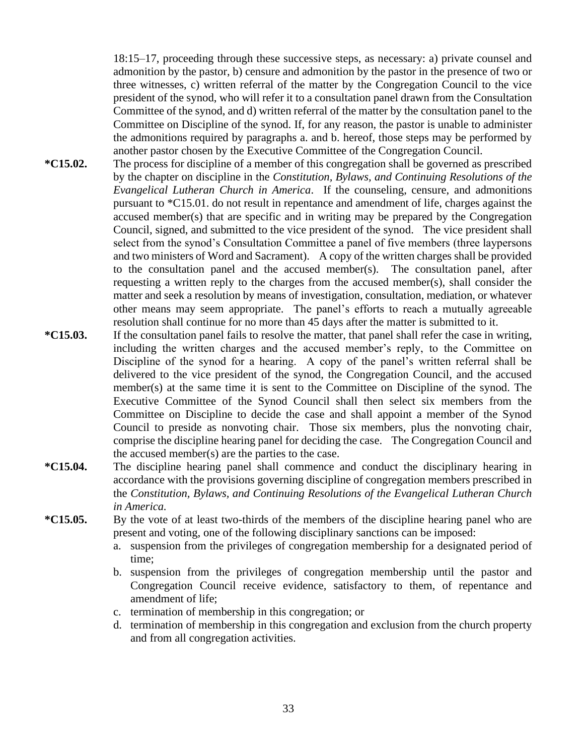18:15–17, proceeding through these successive steps, as necessary: a) private counsel and admonition by the pastor, b) censure and admonition by the pastor in the presence of two or three witnesses, c) written referral of the matter by the Congregation Council to the vice president of the synod, who will refer it to a consultation panel drawn from the Consultation Committee of the synod, and d) written referral of the matter by the consultation panel to the Committee on Discipline of the synod. If, for any reason, the pastor is unable to administer the admonitions required by paragraphs a. and b. hereof, those steps may be performed by another pastor chosen by the Executive Committee of the Congregation Council.

- **\*C15.02.** The process for discipline of a member of this congregation shall be governed as prescribed by the chapter on discipline in the *Constitution, Bylaws, and Continuing Resolutions of the Evangelical Lutheran Church in America*. If the counseling, censure, and admonitions pursuant to \*C15.01. do not result in repentance and amendment of life, charges against the accused member(s) that are specific and in writing may be prepared by the Congregation Council, signed, and submitted to the vice president of the synod. The vice president shall select from the synod's Consultation Committee a panel of five members (three laypersons and two ministers of Word and Sacrament). A copy of the written charges shall be provided to the consultation panel and the accused member(s). The consultation panel, after requesting a written reply to the charges from the accused member(s), shall consider the matter and seek a resolution by means of investigation, consultation, mediation, or whatever other means may seem appropriate. The panel's efforts to reach a mutually agreeable resolution shall continue for no more than 45 days after the matter is submitted to it.
- **\*C15.03.** If the consultation panel fails to resolve the matter, that panel shall refer the case in writing, including the written charges and the accused member's reply, to the Committee on Discipline of the synod for a hearing. A copy of the panel's written referral shall be delivered to the vice president of the synod, the Congregation Council, and the accused member(s) at the same time it is sent to the Committee on Discipline of the synod. The Executive Committee of the Synod Council shall then select six members from the Committee on Discipline to decide the case and shall appoint a member of the Synod Council to preside as nonvoting chair. Those six members, plus the nonvoting chair, comprise the discipline hearing panel for deciding the case. The Congregation Council and the accused member(s) are the parties to the case.
- **\*C15.04.** The discipline hearing panel shall commence and conduct the disciplinary hearing in accordance with the provisions governing discipline of congregation members prescribed in the *Constitution, Bylaws, and Continuing Resolutions of the Evangelical Lutheran Church in America.*
- **\*C15.05.** By the vote of at least two-thirds of the members of the discipline hearing panel who are present and voting, one of the following disciplinary sanctions can be imposed:
	- a. suspension from the privileges of congregation membership for a designated period of time;
	- b. suspension from the privileges of congregation membership until the pastor and Congregation Council receive evidence, satisfactory to them, of repentance and amendment of life;
	- c. termination of membership in this congregation; or
	- d. termination of membership in this congregation and exclusion from the church property and from all congregation activities.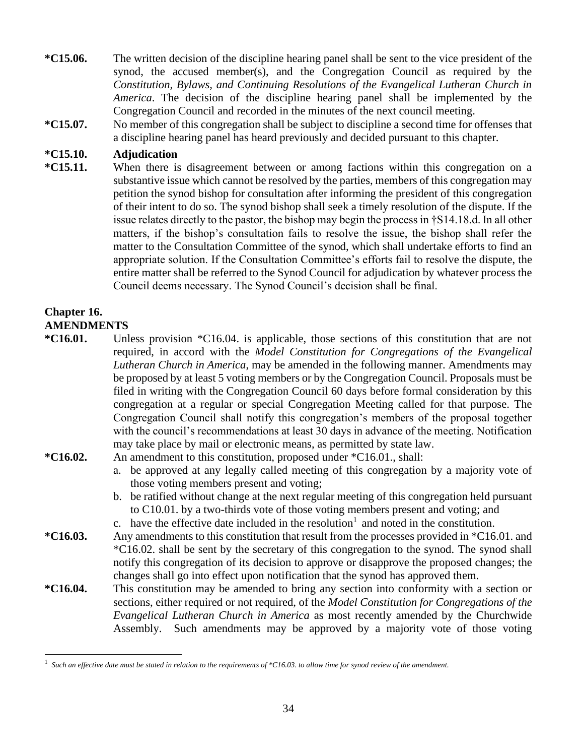- **\*C15.06.** The written decision of the discipline hearing panel shall be sent to the vice president of the synod, the accused member(s), and the Congregation Council as required by the *Constitution, Bylaws, and Continuing Resolutions of the Evangelical Lutheran Church in America*. The decision of the discipline hearing panel shall be implemented by the Congregation Council and recorded in the minutes of the next council meeting.
- **\*C15.07.** No member of this congregation shall be subject to discipline a second time for offenses that a discipline hearing panel has heard previously and decided pursuant to this chapter.

#### **\*C15.10. Adjudication**

**\*C15.11.** When there is disagreement between or among factions within this congregation on a substantive issue which cannot be resolved by the parties, members of this congregation may petition the synod bishop for consultation after informing the president of this congregation of their intent to do so. The synod bishop shall seek a timely resolution of the dispute. If the issue relates directly to the pastor, the bishop may begin the process in †S14.18.d. In all other matters, if the bishop's consultation fails to resolve the issue, the bishop shall refer the matter to the Consultation Committee of the synod, which shall undertake efforts to find an appropriate solution. If the Consultation Committee's efforts fail to resolve the dispute, the entire matter shall be referred to the Synod Council for adjudication by whatever process the Council deems necessary. The Synod Council's decision shall be final.

#### **Chapter 16. AMENDMENTS**

- **\*C16.01.** Unless provision \*C16.04. is applicable, those sections of this constitution that are not required, in accord with the *Model Constitution for Congregations of the Evangelical Lutheran Church in America*, may be amended in the following manner. Amendments may be proposed by at least 5 voting members or by the Congregation Council. Proposals must be filed in writing with the Congregation Council 60 days before formal consideration by this congregation at a regular or special Congregation Meeting called for that purpose. The Congregation Council shall notify this congregation's members of the proposal together with the council's recommendations at least 30 days in advance of the meeting. Notification may take place by mail or electronic means, as permitted by state law.
- **\*C16.02.** An amendment to this constitution, proposed under \*C16.01., shall:
	- a. be approved at any legally called meeting of this congregation by a majority vote of those voting members present and voting;
	- b. be ratified without change at the next regular meeting of this congregation held pursuant to C10.01. by a two-thirds vote of those voting members present and voting; and
	- c. have the effective date included in the resolution<sup>1</sup> and noted in the constitution.
- **\*C16.03.** Any amendments to this constitution that result from the processes provided in \*C16.01. and \*C16.02. shall be sent by the secretary of this congregation to the synod. The synod shall notify this congregation of its decision to approve or disapprove the proposed changes; the changes shall go into effect upon notification that the synod has approved them.
- **\*C16.04.** This constitution may be amended to bring any section into conformity with a section or sections, either required or not required, of the *Model Constitution for Congregations of the Evangelical Lutheran Church in America* as most recently amended by the Churchwide Assembly. Such amendments may be approved by a majority vote of those voting

<sup>1</sup> *Such an effective date must be stated in relation to the requirements of \*C16.03. to allow time for synod review of the amendment.*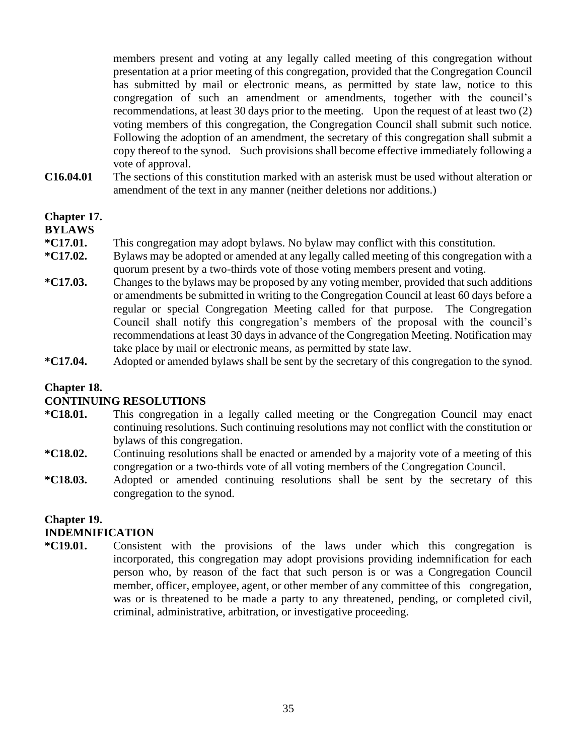members present and voting at any legally called meeting of this congregation without presentation at a prior meeting of this congregation, provided that the Congregation Council has submitted by mail or electronic means, as permitted by state law, notice to this congregation of such an amendment or amendments, together with the council's recommendations, at least 30 days prior to the meeting. Upon the request of at least two (2) voting members of this congregation, the Congregation Council shall submit such notice. Following the adoption of an amendment, the secretary of this congregation shall submit a copy thereof to the synod. Such provisions shall become effective immediately following a vote of approval.

**C16.04.01** The sections of this constitution marked with an asterisk must be used without alteration or amendment of the text in any manner (neither deletions nor additions.)

# **Chapter 17.**

#### **BYLAWS**

- **\*C17.01.** This congregation may adopt bylaws. No bylaw may conflict with this constitution.
- **\*C17.02.** Bylaws may be adopted or amended at any legally called meeting of this congregation with a quorum present by a two-thirds vote of those voting members present and voting.
- **\*C17.03.** Changes to the bylaws may be proposed by any voting member, provided that such additions or amendments be submitted in writing to the Congregation Council at least 60 days before a regular or special Congregation Meeting called for that purpose. The Congregation Council shall notify this congregation's members of the proposal with the council's recommendations at least 30 days in advance of the Congregation Meeting. Notification may take place by mail or electronic means, as permitted by state law.
- **\*C17.04.** Adopted or amended bylaws shall be sent by the secretary of this congregation to the synod.

#### **Chapter 18.**

#### **CONTINUING RESOLUTIONS**

- **\*C18.01.** This congregation in a legally called meeting or the Congregation Council may enact continuing resolutions. Such continuing resolutions may not conflict with the constitution or bylaws of this congregation.
- **\*C18.02.** Continuing resolutions shall be enacted or amended by a majority vote of a meeting of this congregation or a two-thirds vote of all voting members of the Congregation Council.
- **\*C18.03.** Adopted or amended continuing resolutions shall be sent by the secretary of this congregation to the synod.

#### **Chapter 19. INDEMNIFICATION**

**\*C19.01.** Consistent with the provisions of the laws under which this congregation is incorporated, this congregation may adopt provisions providing indemnification for each person who, by reason of the fact that such person is or was a Congregation Council member, officer, employee, agent, or other member of any committee of this congregation, was or is threatened to be made a party to any threatened, pending, or completed civil, criminal, administrative, arbitration, or investigative proceeding.